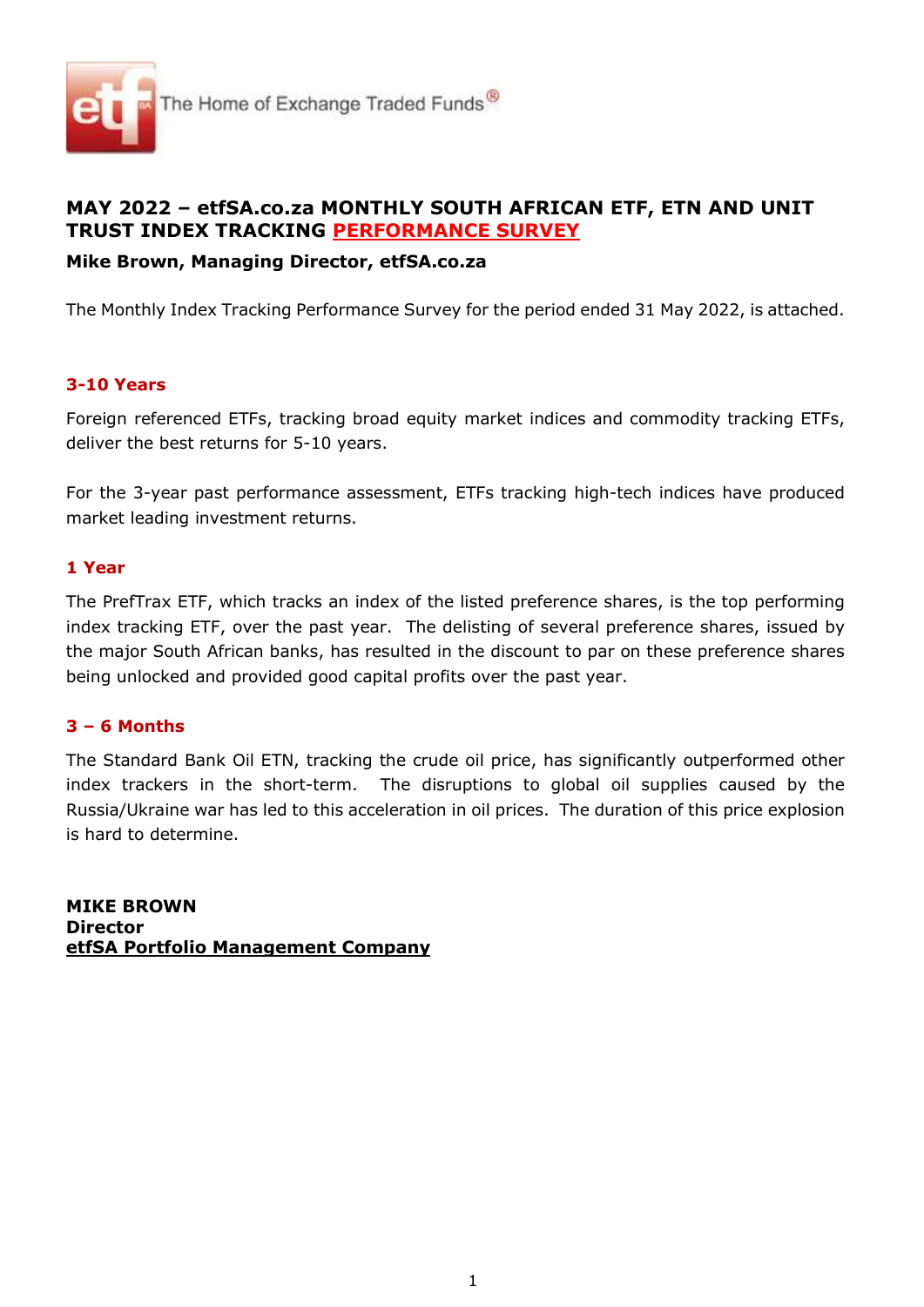

# MAY 2022 – etfSA.co.za MONTHLY SOUTH AFRICAN ETF, ETN AND UNIT TRUST INDEX TRACKING PERFORMANCE SURVEY

## Mike Brown, Managing Director, etfSA.co.za

The Monthly Index Tracking Performance Survey for the period ended 31 May 2022, is attached.

## 3-10 Years

Foreign referenced ETFs, tracking broad equity market indices and commodity tracking ETFs, deliver the best returns for 5-10 years.

For the 3-year past performance assessment, ETFs tracking high-tech indices have produced market leading investment returns.

#### 1 Year

The PrefTrax ETF, which tracks an index of the listed preference shares, is the top performing index tracking ETF, over the past year. The delisting of several preference shares, issued by the major South African banks, has resulted in the discount to par on these preference shares being unlocked and provided good capital profits over the past year.

### 3 – 6 Months

The Standard Bank Oil ETN, tracking the crude oil price, has significantly outperformed other index trackers in the short-term. The disruptions to global oil supplies caused by the Russia/Ukraine war has led to this acceleration in oil prices. The duration of this price explosion is hard to determine.

MIKE BROWN **Director** etfSA Portfolio Management Company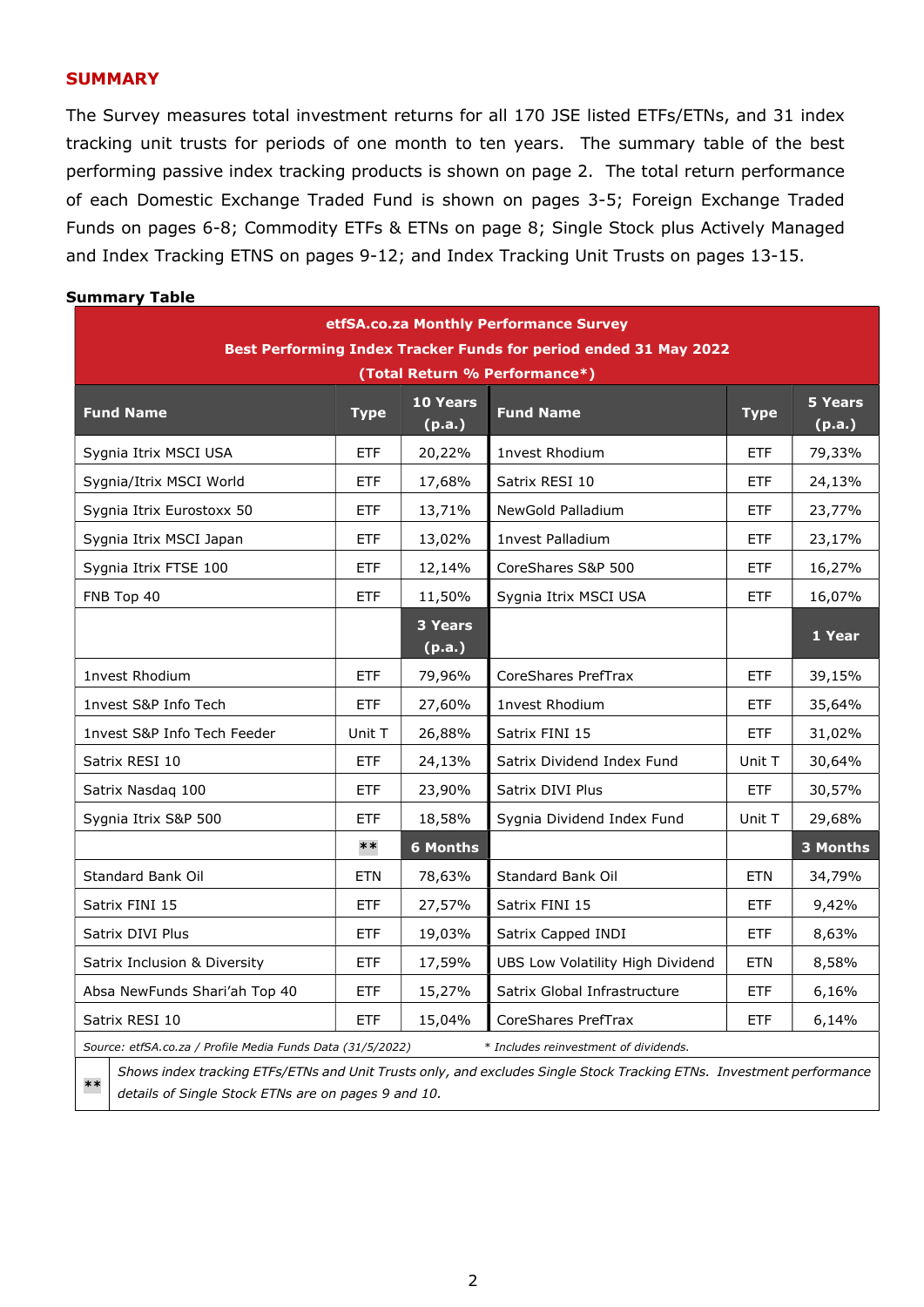#### **SUMMARY**

The Survey measures total investment returns for all 170 JSE listed ETFs/ETNs, and 31 index tracking unit trusts for periods of one month to ten years. The summary table of the best performing passive index tracking products is shown on page 2. The total return performance of each Domestic Exchange Traded Fund is shown on pages 3-5; Foreign Exchange Traded Funds on pages 6-8; Commodity ETFs & ETNs on page 8; Single Stock plus Actively Managed and Index Tracking ETNS on pages 9-12; and Index Tracking Unit Trusts on pages 13-15.

#### Summary Table

| etfSA.co.za Monthly Performance Survey                       |             |                          |                                                                                                                      |             |                          |  |  |  |  |  |  |
|--------------------------------------------------------------|-------------|--------------------------|----------------------------------------------------------------------------------------------------------------------|-------------|--------------------------|--|--|--|--|--|--|
|                                                              |             |                          | <b>Best Performing Index Tracker Funds for period ended 31 May 2022</b>                                              |             |                          |  |  |  |  |  |  |
|                                                              |             |                          | (Total Return % Performance*)                                                                                        |             |                          |  |  |  |  |  |  |
| <b>Fund Name</b>                                             | <b>Type</b> | 10 Years<br>(p.a.)       | <b>Fund Name</b>                                                                                                     | <b>Type</b> | <b>5 Years</b><br>(p.a.) |  |  |  |  |  |  |
| Sygnia Itrix MSCI USA                                        | <b>ETF</b>  | 20,22%                   | 1nvest Rhodium                                                                                                       | <b>ETF</b>  | 79,33%                   |  |  |  |  |  |  |
| Sygnia/Itrix MSCI World                                      | <b>ETF</b>  | 17,68%                   | Satrix RESI 10                                                                                                       | <b>ETF</b>  | 24,13%                   |  |  |  |  |  |  |
| Sygnia Itrix Eurostoxx 50                                    | <b>ETF</b>  | 13,71%                   | NewGold Palladium                                                                                                    | <b>ETF</b>  | 23,77%                   |  |  |  |  |  |  |
| Sygnia Itrix MSCI Japan                                      | <b>ETF</b>  | 13,02%                   | 1nvest Palladium                                                                                                     | <b>ETF</b>  | 23,17%                   |  |  |  |  |  |  |
| Sygnia Itrix FTSE 100                                        | ETF         | 12,14%                   | CoreShares S&P 500                                                                                                   | <b>ETF</b>  | 16,27%                   |  |  |  |  |  |  |
| FNB Top 40                                                   | <b>ETF</b>  | 11,50%                   | Sygnia Itrix MSCI USA                                                                                                | ETF         | 16,07%                   |  |  |  |  |  |  |
|                                                              |             | <b>3 Years</b><br>(p.a.) |                                                                                                                      |             | 1 Year                   |  |  |  |  |  |  |
| <b>1nvest Rhodium</b>                                        | <b>ETF</b>  | 79,96%                   | CoreShares PrefTrax                                                                                                  | <b>ETF</b>  | 39,15%                   |  |  |  |  |  |  |
| 1nvest S&P Info Tech                                         | <b>ETF</b>  | 27,60%                   | <b>1nvest Rhodium</b>                                                                                                | ETF         | 35,64%                   |  |  |  |  |  |  |
| 1nvest S&P Info Tech Feeder                                  | Unit T      | 26,88%                   | Satrix FINI 15                                                                                                       | <b>ETF</b>  | 31,02%                   |  |  |  |  |  |  |
| Satrix RESI 10                                               | <b>ETF</b>  | 24,13%                   | Satrix Dividend Index Fund                                                                                           | Unit T      | 30,64%                   |  |  |  |  |  |  |
| Satrix Nasdaq 100                                            | ETF         | 23,90%                   | Satrix DIVI Plus                                                                                                     | ETF         | 30,57%                   |  |  |  |  |  |  |
| Sygnia Itrix S&P 500                                         | <b>ETF</b>  | 18,58%                   | Sygnia Dividend Index Fund                                                                                           | Unit T      | 29,68%                   |  |  |  |  |  |  |
|                                                              | $***$       | <b>6 Months</b>          |                                                                                                                      |             | 3 Months                 |  |  |  |  |  |  |
| Standard Bank Oil                                            | <b>ETN</b>  | 78,63%                   | Standard Bank Oil                                                                                                    | <b>ETN</b>  | 34,79%                   |  |  |  |  |  |  |
| Satrix FINI 15                                               | <b>ETF</b>  | 27,57%                   | Satrix FINI 15                                                                                                       | ETF         | 9,42%                    |  |  |  |  |  |  |
| Satrix DIVI Plus                                             | <b>ETF</b>  | 19,03%                   | Satrix Capped INDI                                                                                                   | ETF         | 8,63%                    |  |  |  |  |  |  |
| Satrix Inclusion & Diversity                                 | <b>ETF</b>  | 17,59%                   | UBS Low Volatility High Dividend                                                                                     | <b>ETN</b>  | 8,58%                    |  |  |  |  |  |  |
| Absa NewFunds Shari'ah Top 40                                | <b>ETF</b>  | 15,27%                   | Satrix Global Infrastructure                                                                                         | <b>ETF</b>  | 6,16%                    |  |  |  |  |  |  |
| Satrix RESI 10                                               | ETF         | 15,04%                   | CoreShares PrefTrax                                                                                                  | ETF         | 6,14%                    |  |  |  |  |  |  |
| Source: etfSA.co.za / Profile Media Funds Data (31/5/2022)   |             |                          | * Includes reinvestment of dividends.                                                                                |             |                          |  |  |  |  |  |  |
| $***$<br>details of Single Stock ETNs are on pages 9 and 10. |             |                          | Shows index tracking ETFs/ETNs and Unit Trusts only, and excludes Single Stock Tracking ETNs. Investment performance |             |                          |  |  |  |  |  |  |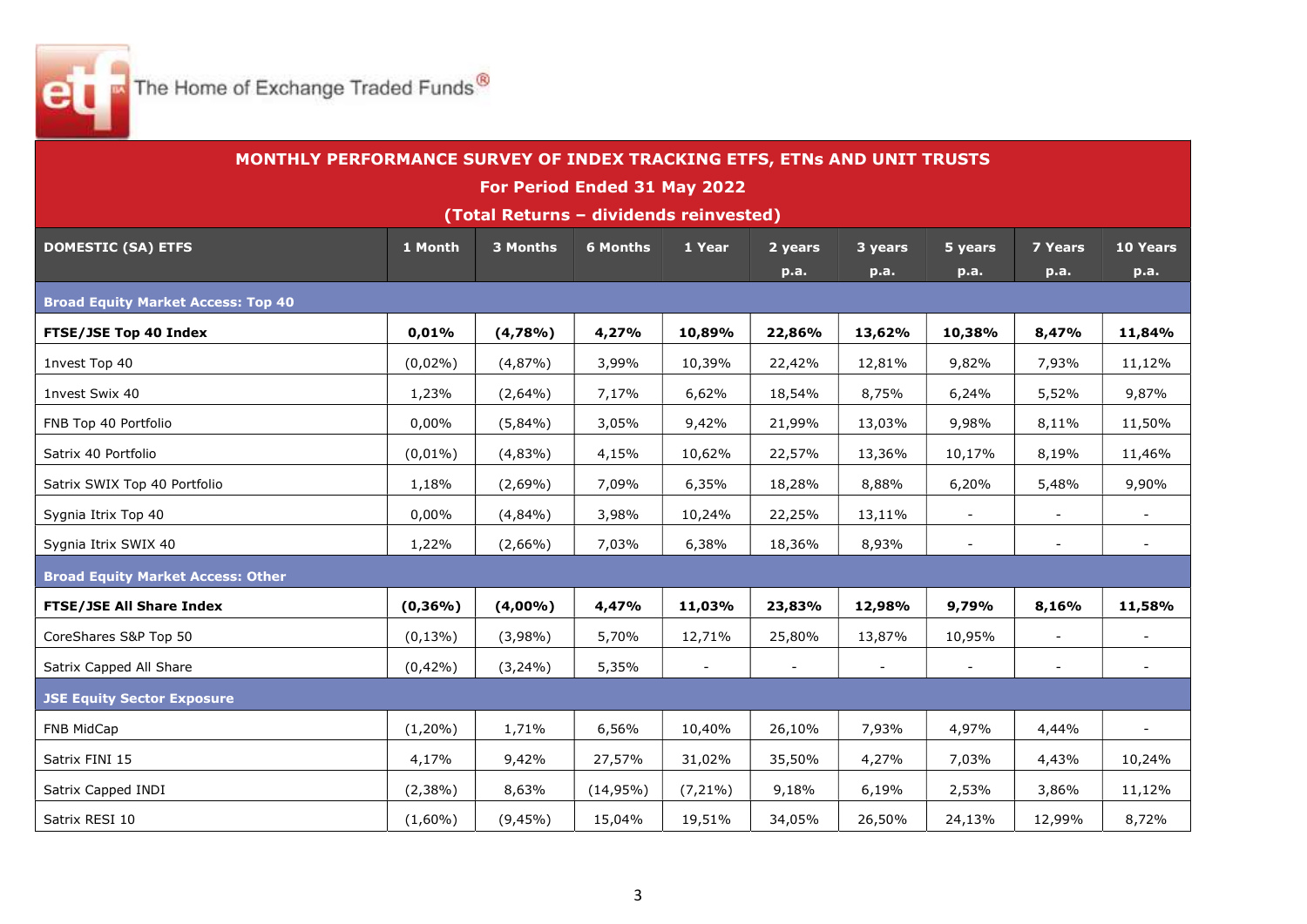The Home of Exchange Traded Funds<sup>®</sup>

|                                           | MONTHLY PERFORMANCE SURVEY OF INDEX TRACKING ETFS, ETNs AND UNIT TRUSTS |                                        |                 |            |                          |         |                |                          |                          |
|-------------------------------------------|-------------------------------------------------------------------------|----------------------------------------|-----------------|------------|--------------------------|---------|----------------|--------------------------|--------------------------|
|                                           |                                                                         | For Period Ended 31 May 2022           |                 |            |                          |         |                |                          |                          |
|                                           |                                                                         | (Total Returns - dividends reinvested) |                 |            |                          |         |                |                          |                          |
| <b>DOMESTIC (SA) ETFS</b>                 | 1 Month                                                                 | 3 Months                               | <b>6 Months</b> | 1 Year     | 2 years                  | 3 years | 5 years        | <b>7 Years</b>           | 10 Years                 |
|                                           |                                                                         |                                        |                 |            | p.a.                     | p.a.    | p.a.           | <b>p.a.</b>              | p.a.                     |
| <b>Broad Equity Market Access: Top 40</b> |                                                                         |                                        |                 |            |                          |         |                |                          |                          |
| <b>FTSE/JSE Top 40 Index</b>              | 0,01%                                                                   | (4,78%                                 | 4,27%           | 10,89%     | 22,86%                   | 13,62%  | 10,38%         | 8,47%                    | 11,84%                   |
| 1nvest Top 40                             | $(0,02\%)$                                                              | (4,87%)                                | 3,99%           | 10,39%     | 22,42%                   | 12,81%  | 9,82%          | 7,93%                    | 11,12%                   |
| 1nvest Swix 40                            | 1,23%                                                                   | $(2,64\%)$                             | 7,17%           | 6,62%      | 18,54%                   | 8,75%   | 6,24%          | 5,52%                    | 9,87%                    |
| FNB Top 40 Portfolio                      | 0,00%                                                                   | $(5,84\%)$                             | 3,05%           | 9,42%      | 21,99%                   | 13,03%  | 9,98%          | 8,11%                    | 11,50%                   |
| Satrix 40 Portfolio                       | $(0,01\%)$                                                              | (4,83%)                                | 4,15%           | 10,62%     | 22,57%                   | 13,36%  | 10,17%         | 8,19%                    | 11,46%                   |
| Satrix SWIX Top 40 Portfolio              | 1,18%                                                                   | $(2,69\%)$                             | 7,09%           | 6,35%      | 18,28%                   | 8,88%   | 6,20%          | 5,48%                    | 9,90%                    |
| Sygnia Itrix Top 40                       | 0,00%                                                                   | (4,84%                                 | 3,98%           | 10,24%     | 22,25%                   | 13,11%  | $\blacksquare$ |                          |                          |
| Sygnia Itrix SWIX 40                      | 1,22%                                                                   | $(2,66\%)$                             | 7,03%           | 6,38%      | 18,36%                   | 8,93%   | $\blacksquare$ | $\blacksquare$           | $\overline{\phantom{a}}$ |
| <b>Broad Equity Market Access: Other</b>  |                                                                         |                                        |                 |            |                          |         |                |                          |                          |
| <b>FTSE/JSE All Share Index</b>           | $(0, 36\%)$                                                             | (4,00%                                 | 4,47%           | 11,03%     | 23,83%                   | 12,98%  | 9,79%          | 8,16%                    | 11,58%                   |
| CoreShares S&P Top 50                     | $(0, 13\%)$                                                             | $(3,98\%)$                             | 5,70%           | 12,71%     | 25,80%                   | 13,87%  | 10,95%         | $\overline{\phantom{a}}$ |                          |
| Satrix Capped All Share                   | $(0,42\%)$                                                              | $(3,24\%)$                             | 5,35%           |            | $\overline{\phantom{a}}$ |         | $\blacksquare$ | $\blacksquare$           |                          |
| <b>JSE Equity Sector Exposure</b>         |                                                                         |                                        |                 |            |                          |         |                |                          |                          |
| FNB MidCap                                | $(1,20\%)$                                                              | 1,71%                                  | 6,56%           | 10,40%     | 26,10%                   | 7,93%   | 4,97%          | 4,44%                    | $\blacksquare$           |
| Satrix FINI 15                            | 4,17%                                                                   | 9,42%                                  | 27,57%          | 31,02%     | 35,50%                   | 4,27%   | 7,03%          | 4,43%                    | 10,24%                   |
| Satrix Capped INDI                        | $(2,38\%)$                                                              | 8,63%                                  | $(14,95\%)$     | $(7,21\%)$ | 9,18%                    | 6,19%   | 2,53%          | 3,86%                    | 11,12%                   |
| Satrix RESI 10                            | $(1,60\%)$                                                              | (9,45%)                                | 15,04%          | 19,51%     | 34,05%                   | 26,50%  | 24,13%         | 12,99%                   | 8,72%                    |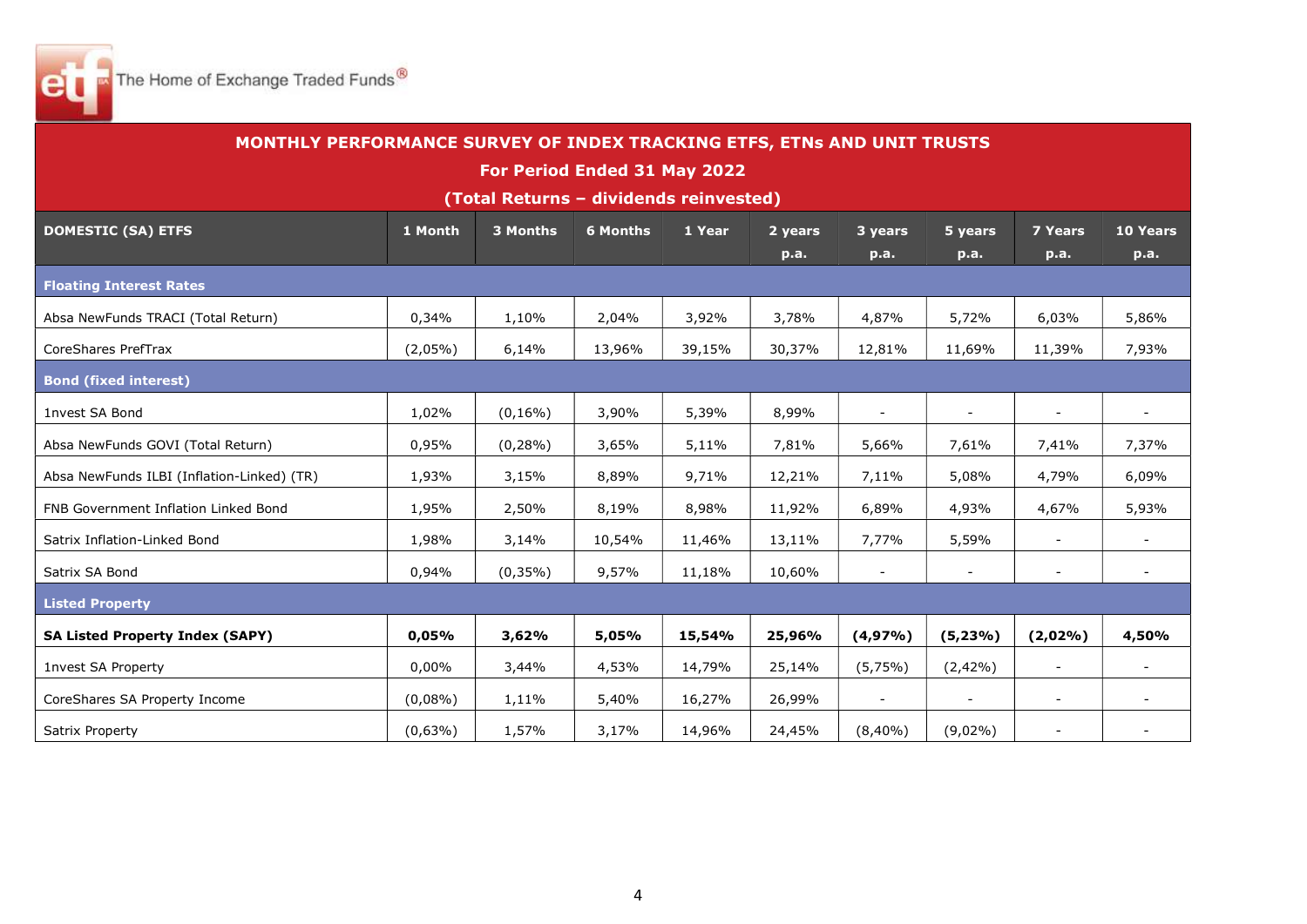

| MONTHLY PERFORMANCE SURVEY OF INDEX TRACKING ETFS, ETNs AND UNIT TRUSTS |            |                                        |                              |        |         |                          |                          |                          |          |
|-------------------------------------------------------------------------|------------|----------------------------------------|------------------------------|--------|---------|--------------------------|--------------------------|--------------------------|----------|
|                                                                         |            |                                        | For Period Ended 31 May 2022 |        |         |                          |                          |                          |          |
|                                                                         |            | (Total Returns - dividends reinvested) |                              |        |         |                          |                          |                          |          |
| <b>DOMESTIC (SA) ETFS</b>                                               | 1 Month    | 3 Months                               | <b>6 Months</b>              | 1 Year | 2 years | 3 years                  | 5 years                  | <b>7 Years</b>           | 10 Years |
|                                                                         |            |                                        |                              |        | p.a.    | p.a.                     | p.a.                     | p.a.                     | p.a.     |
| <b>Floating Interest Rates</b>                                          |            |                                        |                              |        |         |                          |                          |                          |          |
| Absa NewFunds TRACI (Total Return)                                      | 0,34%      | 1,10%                                  | 2,04%                        | 3,92%  | 3,78%   | 4,87%                    | 5,72%                    | 6,03%                    | 5,86%    |
| CoreShares PrefTrax                                                     | $(2,05\%)$ | 6,14%                                  | 13,96%                       | 39,15% | 30,37%  | 12,81%                   | 11,69%                   | 11,39%                   | 7,93%    |
| <b>Bond (fixed interest)</b>                                            |            |                                        |                              |        |         |                          |                          |                          |          |
| 1nvest SA Bond                                                          | 1,02%      | $(0, 16\%)$                            | 3,90%                        | 5,39%  | 8,99%   |                          | $\blacksquare$           | $\blacksquare$           |          |
| Absa NewFunds GOVI (Total Return)                                       | 0,95%      | $(0, 28\%)$                            | 3,65%                        | 5,11%  | 7,81%   | 5,66%                    | 7,61%                    | 7,41%                    | 7,37%    |
| Absa NewFunds ILBI (Inflation-Linked) (TR)                              | 1,93%      | 3,15%                                  | 8,89%                        | 9,71%  | 12,21%  | 7,11%                    | 5,08%                    | 4,79%                    | 6,09%    |
| FNB Government Inflation Linked Bond                                    | 1,95%      | 2,50%                                  | 8,19%                        | 8,98%  | 11,92%  | 6,89%                    | 4,93%                    | 4,67%                    | 5,93%    |
| Satrix Inflation-Linked Bond                                            | 1,98%      | 3,14%                                  | 10,54%                       | 11,46% | 13,11%  | 7,77%                    | 5,59%                    | $\overline{\phantom{a}}$ |          |
| Satrix SA Bond                                                          | 0,94%      | $(0,35\%)$                             | 9,57%                        | 11,18% | 10,60%  | $\overline{\phantom{a}}$ | $\blacksquare$           | $\overline{\phantom{a}}$ | $\sim$   |
| <b>Listed Property</b>                                                  |            |                                        |                              |        |         |                          |                          |                          |          |
| <b>SA Listed Property Index (SAPY)</b>                                  | 0,05%      | 3,62%                                  | 5,05%                        | 15,54% | 25,96%  | (4,97%                   | $(5, 23\%)$              | (2,02%)                  | 4,50%    |
| <b>1nvest SA Property</b>                                               | 0,00%      | 3,44%                                  | 4,53%                        | 14,79% | 25,14%  | (5,75%)                  | $(2,42\%)$               | $\overline{\phantom{a}}$ |          |
| CoreShares SA Property Income                                           | $(0,08\%)$ | 1,11%                                  | 5,40%                        | 16,27% | 26,99%  |                          | $\overline{\phantom{a}}$ | $\overline{\phantom{0}}$ |          |
| Satrix Property                                                         | $(0,63\%)$ | 1,57%                                  | 3,17%                        | 14,96% | 24,45%  | $(8,40\%)$               | $(9,02\%)$               |                          |          |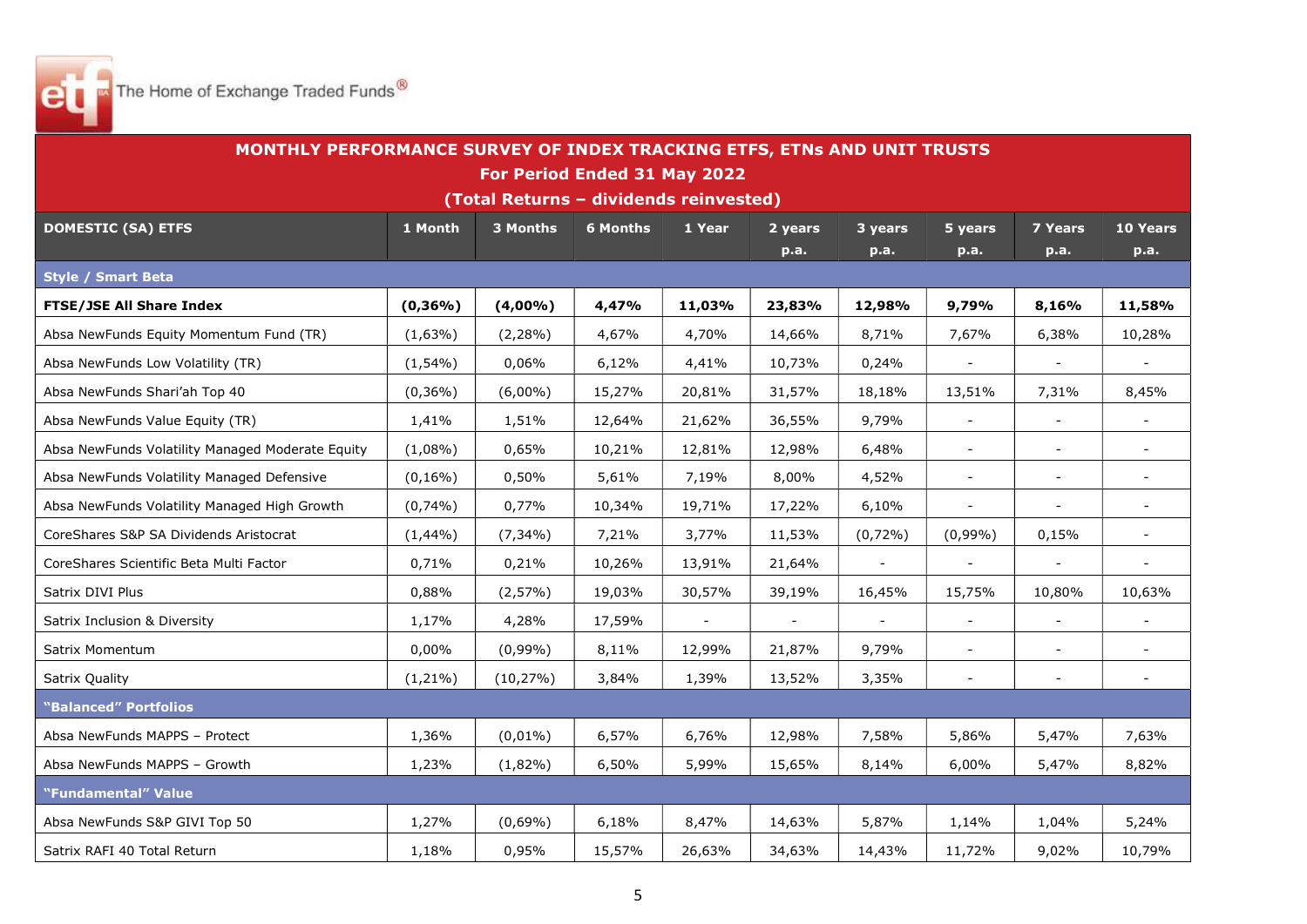

|                                                  | MONTHLY PERFORMANCE SURVEY OF INDEX TRACKING ETFS, ETNs AND UNIT TRUSTS |                                        |                 |        |         |         |                          |                          |                |  |  |  |
|--------------------------------------------------|-------------------------------------------------------------------------|----------------------------------------|-----------------|--------|---------|---------|--------------------------|--------------------------|----------------|--|--|--|
|                                                  |                                                                         | For Period Ended 31 May 2022           |                 |        |         |         |                          |                          |                |  |  |  |
|                                                  |                                                                         | (Total Returns - dividends reinvested) |                 |        |         |         |                          |                          |                |  |  |  |
| <b>DOMESTIC (SA) ETFS</b>                        | 1 Month                                                                 | 3 Months                               | <b>6 Months</b> | 1 Year | 2 years | 3 years | 5 years                  | <b>7 Years</b>           | 10 Years       |  |  |  |
|                                                  |                                                                         |                                        |                 |        | p.a.    | p.a.    | p.a.                     | p.a.                     | p.a.           |  |  |  |
| <b>Style / Smart Beta</b>                        |                                                                         |                                        |                 |        |         |         |                          |                          |                |  |  |  |
| <b>FTSE/JSE All Share Index</b>                  | $(0, 36\%)$                                                             | (4,00%                                 | 4,47%           | 11,03% | 23,83%  | 12,98%  | 9,79%                    | 8,16%                    | 11,58%         |  |  |  |
| Absa NewFunds Equity Momentum Fund (TR)          | $(1,63\%)$                                                              | $(2,28\%)$                             | 4,67%           | 4,70%  | 14,66%  | 8,71%   | 7,67%                    | 6,38%                    | 10,28%         |  |  |  |
| Absa NewFunds Low Volatility (TR)                | $(1,54\%)$                                                              | $0,06\%$                               | 6,12%           | 4,41%  | 10,73%  | 0,24%   |                          |                          |                |  |  |  |
| Absa NewFunds Shari'ah Top 40                    | $(0,36\%)$                                                              | $(6,00\%)$                             | 15,27%          | 20,81% | 31,57%  | 18,18%  | 13,51%                   | 7,31%                    | 8,45%          |  |  |  |
| Absa NewFunds Value Equity (TR)                  | 1,41%                                                                   | 1,51%                                  | 12,64%          | 21,62% | 36,55%  | 9,79%   | $\blacksquare$           |                          |                |  |  |  |
| Absa NewFunds Volatility Managed Moderate Equity | $(1,08\%)$                                                              | 0,65%                                  | 10,21%          | 12,81% | 12,98%  | 6,48%   | $\blacksquare$           | $\overline{\phantom{a}}$ | $\blacksquare$ |  |  |  |
| Absa NewFunds Volatility Managed Defensive       | $(0, 16\%)$                                                             | 0,50%                                  | 5,61%           | 7,19%  | 8,00%   | 4,52%   | $\blacksquare$           | $\overline{\phantom{a}}$ | $\sim$         |  |  |  |
| Absa NewFunds Volatility Managed High Growth     | $(0,74\%)$                                                              | 0,77%                                  | 10,34%          | 19,71% | 17,22%  | 6,10%   | $\blacksquare$           |                          |                |  |  |  |
| CoreShares S&P SA Dividends Aristocrat           | $(1,44\%)$                                                              | $(7, 34\%)$                            | 7,21%           | 3,77%  | 11,53%  | (0,72%) | $(0,99\%)$               | 0,15%                    | $\blacksquare$ |  |  |  |
| CoreShares Scientific Beta Multi Factor          | 0,71%                                                                   | 0,21%                                  | 10,26%          | 13,91% | 21,64%  |         | $\blacksquare$           | $\blacksquare$           |                |  |  |  |
| Satrix DIVI Plus                                 | 0,88%                                                                   | (2,57%)                                | 19,03%          | 30,57% | 39,19%  | 16,45%  | 15,75%                   | 10,80%                   | 10,63%         |  |  |  |
| Satrix Inclusion & Diversity                     | 1,17%                                                                   | 4,28%                                  | 17,59%          |        |         |         | $\equiv$                 | $\overline{\phantom{a}}$ |                |  |  |  |
| Satrix Momentum                                  | 0,00%                                                                   | $(0,99\%)$                             | 8,11%           | 12,99% | 21,87%  | 9,79%   | $\blacksquare$           | $\overline{\phantom{a}}$ | $\sim$         |  |  |  |
| Satrix Quality                                   | $(1,21\%)$                                                              | $(10, 27\%)$                           | 3,84%           | 1,39%  | 13,52%  | 3,35%   | $\overline{\phantom{a}}$ | $\overline{\phantom{a}}$ |                |  |  |  |
| "Balanced" Portfolios                            |                                                                         |                                        |                 |        |         |         |                          |                          |                |  |  |  |
| Absa NewFunds MAPPS - Protect                    | 1,36%                                                                   | $(0,01\%)$                             | 6,57%           | 6,76%  | 12,98%  | 7,58%   | 5,86%                    | 5,47%                    | 7,63%          |  |  |  |
| Absa NewFunds MAPPS - Growth                     | 1,23%                                                                   | $(1,82\%)$                             | 6,50%           | 5,99%  | 15,65%  | 8,14%   | 6,00%                    | 5,47%                    | 8,82%          |  |  |  |
| "Fundamental" Value                              |                                                                         |                                        |                 |        |         |         |                          |                          |                |  |  |  |
| Absa NewFunds S&P GIVI Top 50                    | 1,27%                                                                   | $(0,69\%)$                             | 6,18%           | 8,47%  | 14,63%  | 5,87%   | 1,14%                    | 1,04%                    | 5,24%          |  |  |  |
| Satrix RAFI 40 Total Return                      | 1,18%                                                                   | 0,95%                                  | 15,57%          | 26,63% | 34,63%  | 14,43%  | 11,72%                   | 9,02%                    | 10,79%         |  |  |  |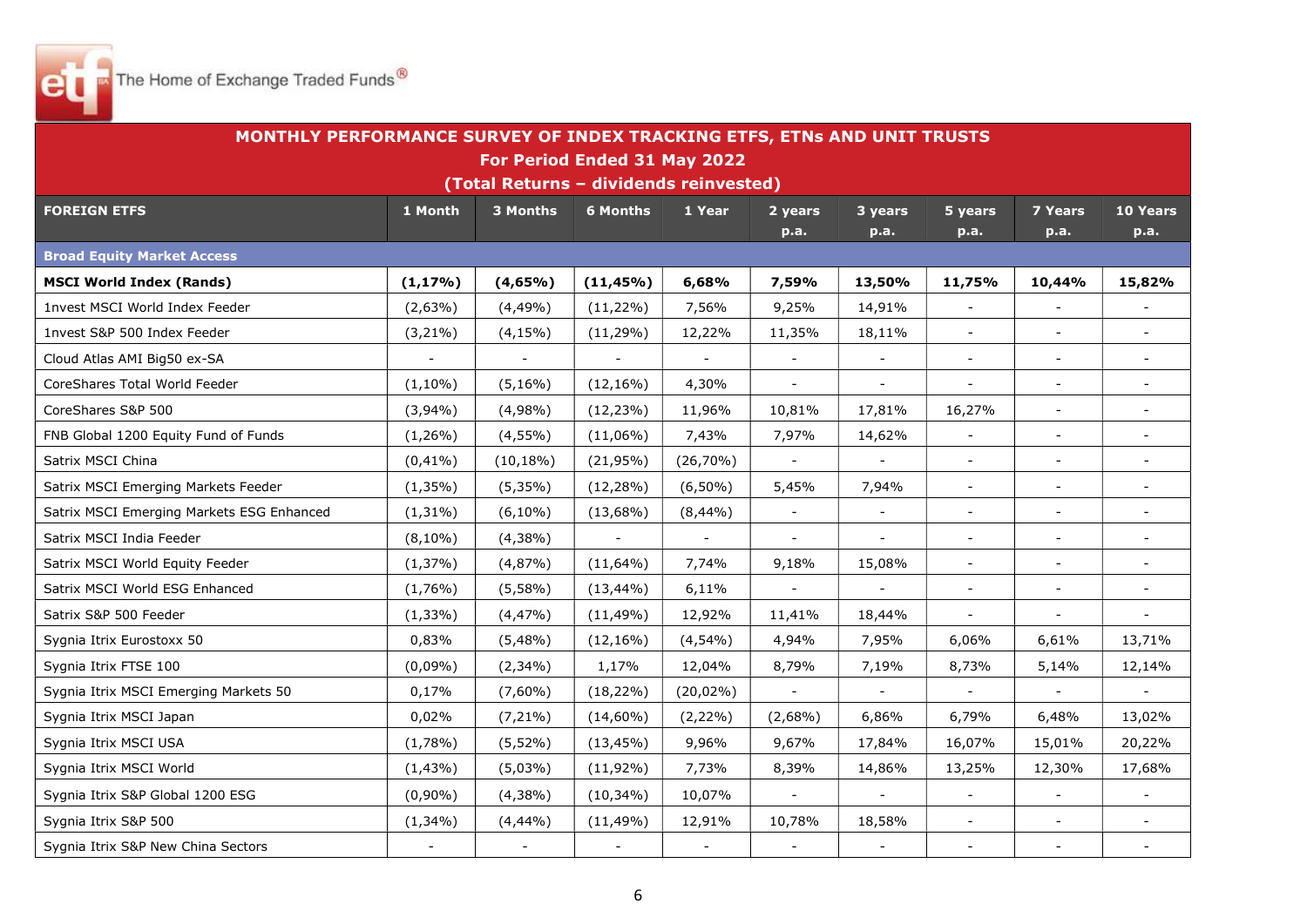

| MONTHLY PERFORMANCE SURVEY OF INDEX TRACKING ETFS, ETNs AND UNIT TRUSTS |             |                                        |                          |                |                          |                          |                             |                          |          |  |
|-------------------------------------------------------------------------|-------------|----------------------------------------|--------------------------|----------------|--------------------------|--------------------------|-----------------------------|--------------------------|----------|--|
|                                                                         |             | For Period Ended 31 May 2022           |                          |                |                          |                          |                             |                          |          |  |
|                                                                         |             | (Total Returns - dividends reinvested) |                          |                |                          |                          |                             |                          |          |  |
| <b>FOREIGN ETFS</b>                                                     | 1 Month     | 3 Months                               | <b>6 Months</b>          | 1 Year         | 2 years                  | 3 years                  | 5 years                     | <b>7 Years</b>           | 10 Years |  |
|                                                                         |             |                                        |                          |                | p.a.                     | $\overline{p.a.}$        | p.a.                        | p.a.                     | p.a.     |  |
| <b>Broad Equity Market Access</b>                                       |             |                                        |                          |                |                          |                          |                             |                          |          |  |
| <b>MSCI World Index (Rands)</b>                                         | $(1, 17\%)$ | (4,65%)                                | $(11, 45\%)$             | 6,68%          | 7,59%                    | 13,50%                   | 11,75%                      | 10,44%                   | 15,82%   |  |
| 1nvest MSCI World Index Feeder                                          | $(2,63\%)$  | $(4,49\%)$                             | $(11, 22\%)$             | 7,56%          | 9,25%                    | 14,91%                   | $\blacksquare$              | $\blacksquare$           | $\sim$   |  |
| 1nvest S&P 500 Index Feeder                                             | $(3,21\%)$  | $(4, 15\%)$                            | $(11, 29\%)$             | 12,22%         | 11,35%                   | 18,11%                   | $\blacksquare$              | $\overline{\phantom{a}}$ |          |  |
| Cloud Atlas AMI Big50 ex-SA                                             |             |                                        |                          | $\blacksquare$ | $\Box$                   |                          | $\overline{\phantom{a}}$    | $\overline{\phantom{a}}$ |          |  |
| CoreShares Total World Feeder                                           | $(1,10\%)$  | $(5, 16\%)$                            | $(12, 16\%)$             | 4,30%          | $\overline{\phantom{a}}$ | $\overline{\phantom{a}}$ | $\blacksquare$              | $\overline{\phantom{a}}$ |          |  |
| CoreShares S&P 500                                                      | $(3,94\%)$  | (4,98%                                 | $(12, 23\%)$             | 11,96%         | 10,81%                   | 17,81%                   | 16,27%                      | $\blacksquare$           |          |  |
| FNB Global 1200 Equity Fund of Funds                                    | $(1,26\%)$  | $(4,55\%)$                             | $(11,06\%)$              | 7,43%          | 7,97%                    | 14,62%                   | $\equiv$                    | $\blacksquare$           | $\sim$   |  |
| Satrix MSCI China                                                       | $(0, 41\%)$ | $(10, 18\%)$                           | $(21,95\%)$              | $(26,70\%)$    |                          |                          | $\blacksquare$              | $\blacksquare$           |          |  |
| Satrix MSCI Emerging Markets Feeder                                     | $(1,35\%)$  | $(5,35\%)$                             | $(12, 28\%)$             | $(6,50\%)$     | 5,45%                    | 7,94%                    | $\overline{\phantom{a}}$    | $\overline{\phantom{a}}$ |          |  |
| Satrix MSCI Emerging Markets ESG Enhanced                               | $(1,31\%)$  | $(6,10\%)$                             | $(13,68\%)$              | (8,44%)        | $\Box$                   |                          | $\blacksquare$              | $\overline{\phantom{a}}$ | $\sim$   |  |
| Satrix MSCI India Feeder                                                | $(8,10\%)$  | $(4,38\%)$                             | $\overline{\phantom{a}}$ | $\blacksquare$ | $\blacksquare$           | $\blacksquare$           | $\blacksquare$              | $\sim$                   |          |  |
| Satrix MSCI World Equity Feeder                                         | (1,37%)     | (4,87%)                                | $(11,64\%)$              | 7,74%          | 9,18%                    | 15,08%                   | $\blacksquare$              | $\blacksquare$           | $\sim$   |  |
| Satrix MSCI World ESG Enhanced                                          | $(1,76\%)$  | $(5,58\%)$                             | $(13, 44\%)$             | 6,11%          |                          |                          | $\overline{a}$              | $\overline{\phantom{a}}$ |          |  |
| Satrix S&P 500 Feeder                                                   | $(1, 33\%)$ | $(4, 47\%)$                            | $(11, 49\%)$             | 12,92%         | 11,41%                   | 18,44%                   | $\overline{\phantom{a}}$    |                          |          |  |
| Sygnia Itrix Eurostoxx 50                                               | 0,83%       | $(5,48\%)$                             | $(12, 16\%)$             | (4,54%         | 4,94%                    | 7,95%                    | 6,06%                       | 6,61%                    | 13,71%   |  |
| Sygnia Itrix FTSE 100                                                   | (0,09%      | $(2,34\%)$                             | 1,17%                    | 12,04%         | 8,79%                    | 7,19%                    | 8,73%                       | 5,14%                    | 12,14%   |  |
| Sygnia Itrix MSCI Emerging Markets 50                                   | 0,17%       | $(7,60\%)$                             | $(18, 22\%)$             | $(20,02\%)$    | $\blacksquare$           |                          | $\blacksquare$              | $\sim$                   |          |  |
| Sygnia Itrix MSCI Japan                                                 | 0,02%       | $(7,21\%)$                             | $(14,60\%)$              | $(2,22\%)$     | $(2,68\%)$               | 6,86%                    | 6,79%                       | 6,48%                    | 13,02%   |  |
| Sygnia Itrix MSCI USA                                                   | (1,78%)     | $(5,52\%)$                             | $(13, 45\%)$             | 9,96%          | 9,67%                    | 17,84%                   | 16,07%                      | 15,01%                   | 20,22%   |  |
| Sygnia Itrix MSCI World                                                 | $(1,43\%)$  | (5,03%)                                | $(11,92\%)$              | 7,73%          | 8,39%                    | 14,86%                   | 13,25%                      | 12,30%                   | 17,68%   |  |
| Sygnia Itrix S&P Global 1200 ESG                                        | $(0,90\%)$  | $(4,38\%)$                             | $(10, 34\%)$             | 10,07%         | $\overline{a}$           |                          | $\mathcal{L}_{\mathcal{A}}$ | $\blacksquare$           |          |  |
| Sygnia Itrix S&P 500                                                    | $(1,34\%)$  | (4,44%)                                | $(11, 49\%)$             | 12,91%         | 10,78%                   | 18,58%                   | $\blacksquare$              | $\overline{\phantom{a}}$ |          |  |
| Sygnia Itrix S&P New China Sectors                                      |             | $\blacksquare$                         |                          | $\blacksquare$ | $\overline{\phantom{a}}$ |                          | $\overline{\phantom{a}}$    | $\overline{\phantom{a}}$ | $\sim$   |  |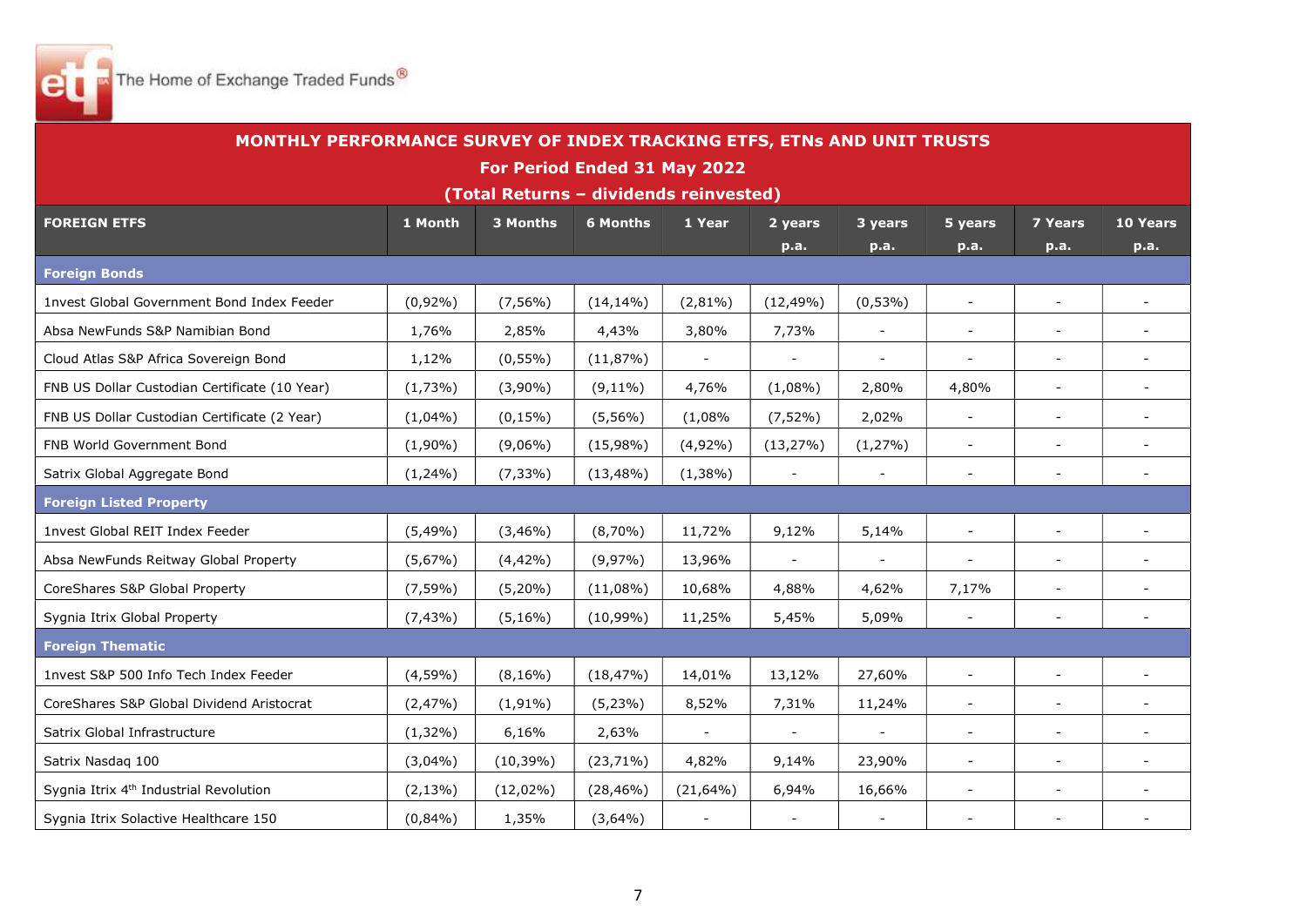

| MONTHLY PERFORMANCE SURVEY OF INDEX TRACKING ETFS, ETNs AND UNIT TRUSTS |             |                                        |                 |                     |                          |                          |                          |                          |                          |  |  |
|-------------------------------------------------------------------------|-------------|----------------------------------------|-----------------|---------------------|--------------------------|--------------------------|--------------------------|--------------------------|--------------------------|--|--|
|                                                                         |             | For Period Ended 31 May 2022           |                 |                     |                          |                          |                          |                          |                          |  |  |
|                                                                         |             | (Total Returns - dividends reinvested) |                 |                     |                          |                          |                          |                          |                          |  |  |
| <b>FOREIGN ETFS</b>                                                     | 1 Month     | 3 Months                               | <b>6 Months</b> | 1 Year              | 2 years                  | 3 years                  | 5 years                  | <b>7 Years</b>           | 10 Years                 |  |  |
|                                                                         |             |                                        |                 |                     | p.a.                     | p.a.                     | p.a.                     | p.a.                     | p.a.                     |  |  |
| <b>Foreign Bonds</b>                                                    |             |                                        |                 |                     |                          |                          |                          |                          |                          |  |  |
| <b>1nvest Global Government Bond Index Feeder</b>                       | $(0,92\%)$  | $(7, 56\%)$                            | $(14, 14\%)$    | $(2,81\%)$          | $(12, 49\%)$             | $(0,53\%)$               | $\overline{\phantom{a}}$ | $\overline{\phantom{a}}$ |                          |  |  |
| Absa NewFunds S&P Namibian Bond                                         | 1,76%       | 2,85%                                  | 4,43%           | 3,80%               | 7,73%                    | $\blacksquare$           | $\blacksquare$           | $\overline{\phantom{a}}$ | $\overline{\phantom{a}}$ |  |  |
| Cloud Atlas S&P Africa Sovereign Bond                                   | 1,12%       | $(0, 55\%)$                            | (11,87%)        | $\blacksquare$      | $\blacksquare$           | $\blacksquare$           | $\overline{\phantom{a}}$ | $\overline{\phantom{a}}$ | ÷                        |  |  |
| FNB US Dollar Custodian Certificate (10 Year)                           | (1,73%)     | $(3,90\%)$                             | $(9, 11\%)$     | 4,76%               | $(1,08\%)$               | 2,80%                    | 4,80%                    | $\blacksquare$           | $\sim$                   |  |  |
| FNB US Dollar Custodian Certificate (2 Year)                            | $(1,04\%)$  | $(0, 15\%)$                            | $(5,56\%)$      | (1,08%              | $(7,52\%)$               | 2,02%                    | $\overline{\phantom{a}}$ |                          |                          |  |  |
| FNB World Government Bond                                               | $(1,90\%)$  | $(9,06\%)$                             | $(15,98\%)$     | $(4,92\%)$          | (13, 27%)                | (1,27%)                  | $\blacksquare$           | $\overline{\phantom{a}}$ | $\overline{\phantom{0}}$ |  |  |
| Satrix Global Aggregate Bond                                            | $(1,24\%)$  | $(7,33\%)$                             | $(13, 48\%)$    | $(1,38\%)$          | $\overline{\phantom{a}}$ | $\blacksquare$           | $\blacksquare$           | $\blacksquare$           | $\overline{\phantom{0}}$ |  |  |
| <b>Foreign Listed Property</b>                                          |             |                                        |                 |                     |                          |                          |                          |                          |                          |  |  |
| 1nvest Global REIT Index Feeder                                         | $(5,49\%)$  | $(3,46\%)$                             | $(8,70\%)$      | 11,72%              | 9,12%                    | 5,14%                    | $\blacksquare$           | $\blacksquare$           | $\overline{\phantom{0}}$ |  |  |
| Absa NewFunds Reitway Global Property                                   | $(5,67\%)$  | $(4,42\%)$                             | $(9,97\%)$      | 13,96%              |                          | $\overline{a}$           | $\sim$                   | $\sim$                   |                          |  |  |
| CoreShares S&P Global Property                                          | $(7, 59\%)$ | $(5,20\%)$                             | $(11,08\%)$     | 10,68%              | 4,88%                    | 4,62%                    | 7,17%                    | $\blacksquare$           | ÷.                       |  |  |
| Sygnia Itrix Global Property                                            | $(7, 43\%)$ | $(5, 16\%)$                            | $(10,99\%)$     | 11,25%              | 5,45%                    | 5,09%                    | $\sim$                   |                          |                          |  |  |
| <b>Foreign Thematic</b>                                                 |             |                                        |                 |                     |                          |                          |                          |                          |                          |  |  |
| 1nvest S&P 500 Info Tech Index Feeder                                   | (4,59%      | $(8,16\%)$                             | (18, 47%)       | 14,01%              | 13,12%                   | 27,60%                   | $\overline{\phantom{a}}$ |                          |                          |  |  |
| CoreShares S&P Global Dividend Aristocrat                               | (2,47%)     | $(1,91\%)$                             | (5,23%)         | 8,52%               | 7,31%                    | 11,24%                   | $\overline{\phantom{a}}$ | $\overline{\phantom{a}}$ | $\overline{\phantom{0}}$ |  |  |
| Satrix Global Infrastructure                                            | $(1,32\%)$  | 6,16%                                  | 2,63%           | $\bar{\phantom{a}}$ | $\blacksquare$           | $\overline{\phantom{a}}$ | $\overline{\phantom{a}}$ | $\overline{\phantom{a}}$ | $\overline{\phantom{a}}$ |  |  |
| Satrix Nasdaq 100                                                       | (3,04%      | $(10, 39\%)$                           | $(23,71\%)$     | 4,82%               | 9,14%                    | 23,90%                   | $\blacksquare$           | $\overline{\phantom{a}}$ | ÷.                       |  |  |
| Sygnia Itrix 4 <sup>th</sup> Industrial Revolution                      | $(2, 13\%)$ | $(12,02\%)$                            | $(28, 46\%)$    | $(21, 64\%)$        | 6,94%                    | 16,66%                   | $\blacksquare$           | $\overline{\phantom{a}}$ | ÷.                       |  |  |
| Sygnia Itrix Solactive Healthcare 150                                   | (0,84%      | 1,35%                                  | $(3,64\%)$      |                     | $\blacksquare$           | $\overline{a}$           |                          |                          |                          |  |  |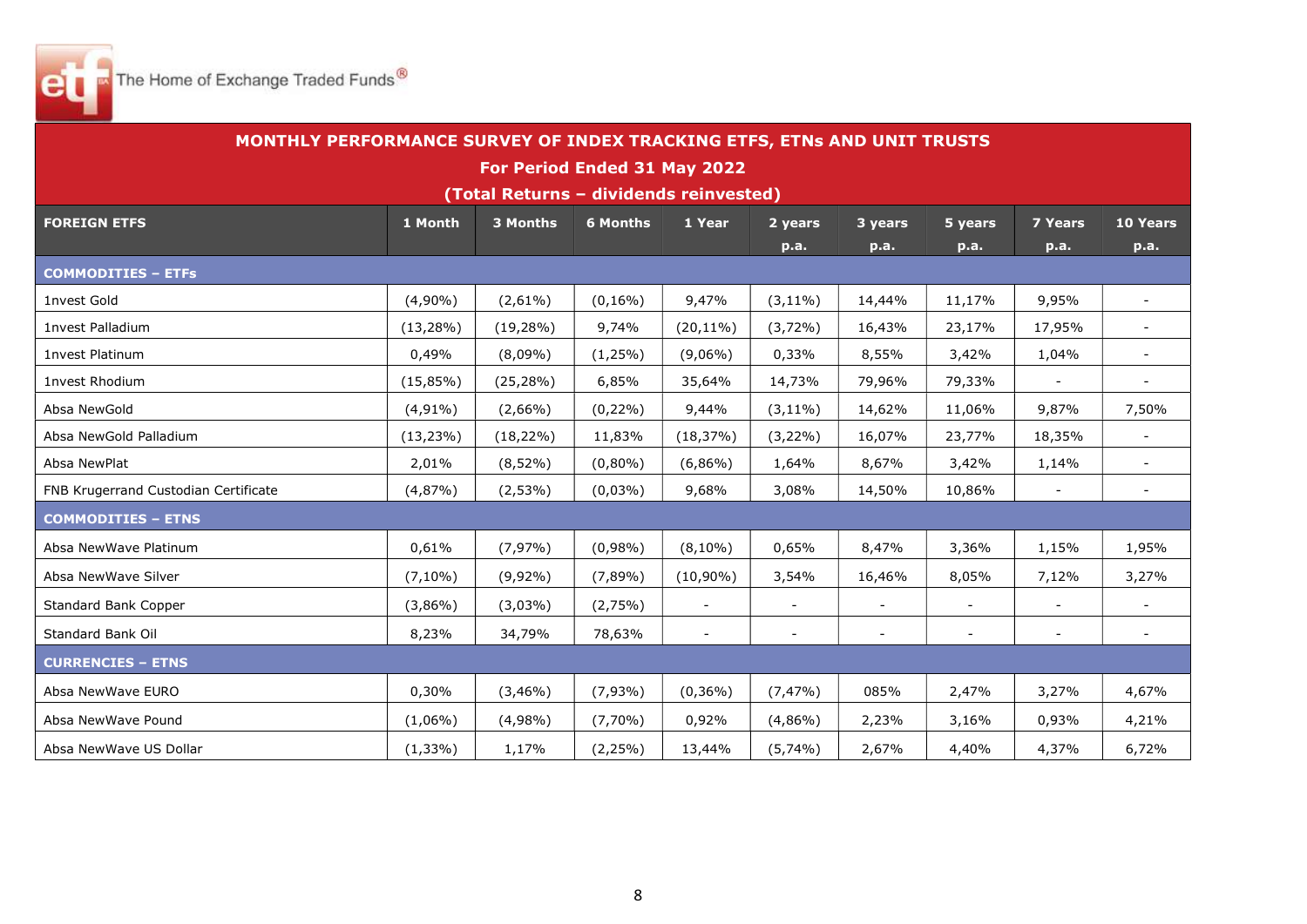

| MONTHLY PERFORMANCE SURVEY OF INDEX TRACKING ETFS, ETNs AND UNIT TRUSTS |              |                                        |                 |                          |                          |                          |                          |                          |                          |
|-------------------------------------------------------------------------|--------------|----------------------------------------|-----------------|--------------------------|--------------------------|--------------------------|--------------------------|--------------------------|--------------------------|
|                                                                         |              | For Period Ended 31 May 2022           |                 |                          |                          |                          |                          |                          |                          |
|                                                                         |              | (Total Returns - dividends reinvested) |                 |                          |                          |                          |                          |                          |                          |
| <b>FOREIGN ETFS</b>                                                     | 1 Month      | <b>3 Months</b>                        | <b>6 Months</b> | 1 Year                   | 2 years                  | 3 years                  | 5 years                  | <b>7 Years</b>           | 10 Years                 |
|                                                                         |              |                                        |                 |                          | p.a.                     | p.a.                     | p.a.                     | p.a.                     | p.a.                     |
| <b>COMMODITIES - ETFs</b>                                               |              |                                        |                 |                          |                          |                          |                          |                          |                          |
| 1nvest Gold                                                             | $(4,90\%)$   | $(2,61\%)$                             | $(0, 16\%)$     | 9,47%                    | $(3, 11\%)$              | 14,44%                   | 11,17%                   | 9,95%                    | $\overline{\phantom{0}}$ |
| 1nvest Palladium                                                        | $(13, 28\%)$ | $(19, 28\%)$                           | 9,74%           | $(20, 11\%)$             | $(3,72\%)$               | 16,43%                   | 23,17%                   | 17,95%                   | $\blacksquare$           |
| 1nvest Platinum                                                         | 0,49%        | $(8,09\%)$                             | $(1,25\%)$      | $(9,06\%)$               | 0,33%                    | 8,55%                    | 3,42%                    | 1,04%                    | $\overline{\phantom{0}}$ |
| 1nvest Rhodium                                                          | $(15,85\%)$  | $(25, 28\%)$                           | 6,85%           | 35,64%                   | 14,73%                   | 79,96%                   | 79,33%                   |                          |                          |
| Absa NewGold                                                            | $(4,91\%)$   | $(2,66\%)$                             | $(0,22\%)$      | 9,44%                    | $(3, 11\%)$              | 14,62%                   | 11,06%                   | 9,87%                    | 7,50%                    |
| Absa NewGold Palladium                                                  | $(13, 23\%)$ | $(18, 22\%)$                           | 11,83%          | (18, 37%)                | $(3,22\%)$               | 16,07%                   | 23,77%                   | 18,35%                   | $\overline{a}$           |
| Absa NewPlat                                                            | 2,01%        | $(8,52\%)$                             | $(0,80\%)$      | $(6,86\%)$               | 1,64%                    | 8,67%                    | 3,42%                    | 1,14%                    | $\overline{\phantom{a}}$ |
| FNB Krugerrand Custodian Certificate                                    | (4,87%)      | $(2,53\%)$                             | $(0,03\%)$      | 9,68%                    | 3,08%                    | 14,50%                   | 10,86%                   | $\blacksquare$           | $\sim$                   |
| <b>COMMODITIES - ETNS</b>                                               |              |                                        |                 |                          |                          |                          |                          |                          |                          |
| Absa NewWave Platinum                                                   | 0,61%        | (7,97%)                                | $(0,98\%)$      | $(8,10\%)$               | 0,65%                    | 8,47%                    | 3,36%                    | 1,15%                    | 1,95%                    |
| Absa NewWave Silver                                                     | $(7,10\%)$   | $(9,92\%)$                             | $(7,89\%)$      | $(10,90\%)$              | 3,54%                    | 16,46%                   | 8,05%                    | 7,12%                    | 3,27%                    |
| Standard Bank Copper                                                    | $(3,86\%)$   | $(3,03\%)$                             | (2,75%)         | $\overline{\phantom{a}}$ | $\blacksquare$           | $\sim$                   | $\blacksquare$           | $\blacksquare$           | $\blacksquare$           |
| Standard Bank Oil                                                       | 8,23%        | 34,79%                                 | 78,63%          | $\overline{\phantom{a}}$ | $\overline{\phantom{a}}$ | $\overline{\phantom{a}}$ | $\overline{\phantom{a}}$ | $\overline{\phantom{a}}$ | $\overline{\phantom{a}}$ |
| <b>CURRENCIES - ETNS</b>                                                |              |                                        |                 |                          |                          |                          |                          |                          |                          |
| Absa NewWave EURO                                                       | 0,30%        | $(3,46\%)$                             | $(7,93\%)$      | $(0,36\%)$               | $(7, 47\%)$              | 085%                     | 2,47%                    | 3,27%                    | 4,67%                    |
| Absa NewWave Pound                                                      | $(1,06\%)$   | $(4,98\%)$                             | $(7,70\%)$      | 0,92%                    | $(4,86\%)$               | 2,23%                    | 3,16%                    | 0,93%                    | 4,21%                    |
| Absa NewWave US Dollar                                                  | $(1,33\%)$   | 1,17%                                  | $(2, 25\%)$     | 13,44%                   | $(5,74\%)$               | 2,67%                    | 4,40%                    | 4,37%                    | 6,72%                    |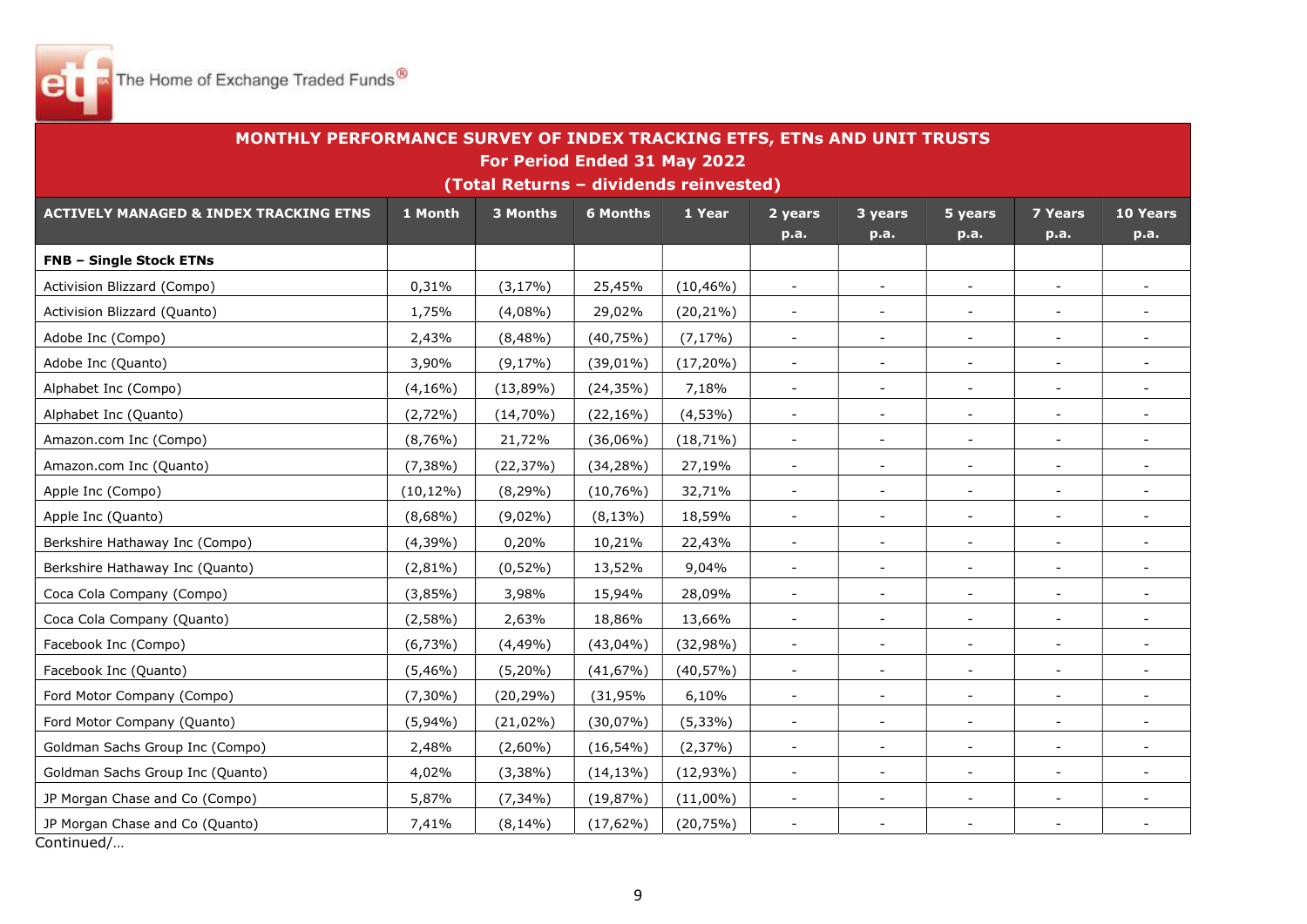

| MONTHLY PERFORMANCE SURVEY OF INDEX TRACKING ETFS, ETNs AND UNIT TRUSTS |              | For Period Ended 31 May 2022<br>(Total Returns - dividends reinvested) |                 |              |                          |                          |                          |                          |                          |
|-------------------------------------------------------------------------|--------------|------------------------------------------------------------------------|-----------------|--------------|--------------------------|--------------------------|--------------------------|--------------------------|--------------------------|
| <b>ACTIVELY MANAGED &amp; INDEX TRACKING ETNS</b>                       | 1 Month      | 3 Months                                                               | <b>6 Months</b> | 1 Year       | 2 years<br>p.a.          | 3 years<br>p.a.          | 5 years<br>p.a.          | <b>7 Years</b><br>p.a.   | 10 Years<br>p.a.         |
| <b>FNB - Single Stock ETNs</b>                                          |              |                                                                        |                 |              |                          |                          |                          |                          |                          |
| Activision Blizzard (Compo)                                             | 0,31%        | $(3, 17\%)$                                                            | 25,45%          | $(10, 46\%)$ | $\blacksquare$           | $\blacksquare$           | $\blacksquare$           | $\overline{\phantom{a}}$ | $\blacksquare$           |
| Activision Blizzard (Quanto)                                            | 1,75%        | (4,08%                                                                 | 29,02%          | $(20, 21\%)$ | $\overline{\phantom{a}}$ | $\overline{\phantom{a}}$ | $\overline{\phantom{a}}$ |                          | $\overline{\phantom{0}}$ |
| Adobe Inc (Compo)                                                       | 2,43%        | $(8,48\%)$                                                             | (40, 75%)       | $(7, 17\%)$  | $\overline{\phantom{a}}$ | $\overline{\phantom{a}}$ | $\overline{\phantom{a}}$ | $\overline{\phantom{a}}$ |                          |
| Adobe Inc (Quanto)                                                      | 3,90%        | $(9,17\%)$                                                             | $(39,01\%)$     | $(17, 20\%)$ | $\blacksquare$           | $\blacksquare$           | $\overline{\phantom{a}}$ | $\overline{\phantom{a}}$ | $\blacksquare$           |
| Alphabet Inc (Compo)                                                    | $(4, 16\%)$  | $(13,89\%)$                                                            | (24, 35%)       | 7,18%        | $\overline{\phantom{a}}$ | $\overline{\phantom{a}}$ |                          | $\overline{\phantom{a}}$ | $\overline{\phantom{a}}$ |
| Alphabet Inc (Quanto)                                                   | $(2,72\%)$   | $(14,70\%)$                                                            | $(22, 16\%)$    | $(4,53\%)$   | $\blacksquare$           | $\blacksquare$           | $\sim$                   | $\blacksquare$           |                          |
| Amazon.com Inc (Compo)                                                  | (8,76%)      | 21,72%                                                                 | $(36,06\%)$     | $(18, 71\%)$ | $\overline{\phantom{a}}$ | $\blacksquare$           | $\sim$                   | $\blacksquare$           | $\overline{\phantom{0}}$ |
| Amazon.com Inc (Quanto)                                                 | $(7,38\%)$   | (22, 37%)                                                              | (34, 28%)       | 27,19%       | $\blacksquare$           | $\blacksquare$           | $\overline{\phantom{a}}$ | $\overline{\phantom{a}}$ | $\blacksquare$           |
| Apple Inc (Compo)                                                       | $(10, 12\%)$ | $(8, 29\%)$                                                            | (10,76%)        | 32,71%       | $\blacksquare$           | $\blacksquare$           | $\sim$                   | $\blacksquare$           | $\blacksquare$           |
| Apple Inc (Quanto)                                                      | $(8,68\%)$   | $(9,02\%)$                                                             | $(8,13\%)$      | 18,59%       | $\overline{a}$           | $\sim$                   |                          |                          |                          |
| Berkshire Hathaway Inc (Compo)                                          | (4,39%)      | 0,20%                                                                  | 10,21%          | 22,43%       | $\blacksquare$           | $\blacksquare$           | $\blacksquare$           | $\blacksquare$           | $\blacksquare$           |
| Berkshire Hathaway Inc (Quanto)                                         | $(2,81\%)$   | $(0,52\%)$                                                             | 13,52%          | 9,04%        | $\overline{\phantom{a}}$ | $\blacksquare$           | $\sim$                   | $\blacksquare$           | ÷                        |
| Coca Cola Company (Compo)                                               | $(3,85\%)$   | 3,98%                                                                  | 15,94%          | 28,09%       | $\overline{\phantom{a}}$ |                          |                          |                          |                          |
| Coca Cola Company (Quanto)                                              | $(2,58\%)$   | 2,63%                                                                  | 18,86%          | 13,66%       | $\overline{\phantom{a}}$ | $\blacksquare$           | $\blacksquare$           | $\overline{\phantom{a}}$ | $\blacksquare$           |
| Facebook Inc (Compo)                                                    | $(6,73\%)$   | (4,49%                                                                 | $(43,04\%)$     | (32,98%)     | $\blacksquare$           | $\overline{\phantom{a}}$ |                          |                          |                          |
| Facebook Inc (Quanto)                                                   | $(5,46\%)$   | $(5,20\%)$                                                             | (41,67%)        | $(40, 57\%)$ | $\blacksquare$           | $\blacksquare$           | $\blacksquare$           | $\overline{\phantom{a}}$ | $\overline{\phantom{0}}$ |
| Ford Motor Company (Compo)                                              | $(7,30\%)$   | $(20, 29\%)$                                                           | $(31, 95\%$     | 6,10%        | $\overline{\phantom{a}}$ | $\blacksquare$           | $\overline{\phantom{a}}$ | $\overline{\phantom{a}}$ | $\overline{\phantom{0}}$ |
| Ford Motor Company (Quanto)                                             | $(5,94\%)$   | $(21,02\%)$                                                            | $(30,07\%)$     | $(5,33\%)$   | $\overline{\phantom{a}}$ | $\blacksquare$           | $\overline{\phantom{a}}$ |                          | $\overline{\phantom{a}}$ |
| Goldman Sachs Group Inc (Compo)                                         | 2,48%        | $(2,60\%)$                                                             | $(16, 54\%)$    | (2,37%)      | $\overline{\phantom{a}}$ | $\overline{\phantom{a}}$ | $\blacksquare$           | $\blacksquare$           |                          |
| Goldman Sachs Group Inc (Quanto)                                        | 4,02%        | $(3,38\%)$                                                             | $(14, 13\%)$    | $(12,93\%)$  | $\overline{\phantom{a}}$ | $\blacksquare$           | $\sim$                   | $\overline{\phantom{a}}$ | $\overline{\phantom{0}}$ |
| JP Morgan Chase and Co (Compo)                                          | 5,87%        | $(7,34\%)$                                                             | (19,87%)        | $(11,00\%)$  | $\blacksquare$           | $\blacksquare$           | $\overline{\phantom{a}}$ | $\overline{\phantom{a}}$ | $\overline{\phantom{a}}$ |
| JP Morgan Chase and Co (Quanto)<br>$C$ antin $\cdots$ ad $l$            | 7,41%        | $(8, 14\%)$                                                            | $(17,62\%)$     | (20, 75%)    | $\overline{\phantom{a}}$ | $\blacksquare$           |                          | $\overline{\phantom{a}}$ | $\blacksquare$           |

Continued/…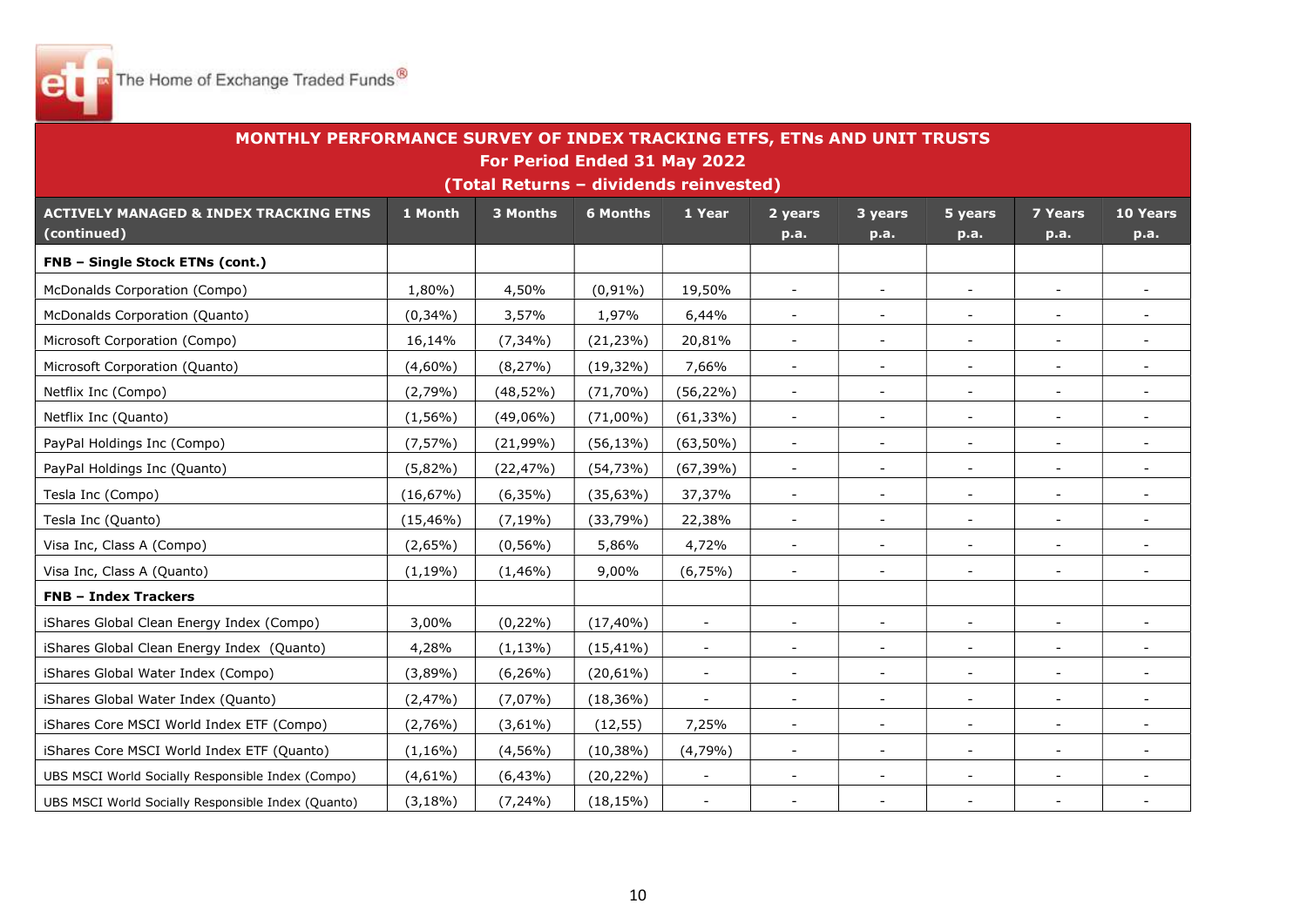

| MONTHLY PERFORMANCE SURVEY OF INDEX TRACKING ETFS, ETNs AND UNIT TRUSTS |              |                                        |                 |                          |                          |                          |                          |                          |                          |  |  |
|-------------------------------------------------------------------------|--------------|----------------------------------------|-----------------|--------------------------|--------------------------|--------------------------|--------------------------|--------------------------|--------------------------|--|--|
|                                                                         |              | For Period Ended 31 May 2022           |                 |                          |                          |                          |                          |                          |                          |  |  |
|                                                                         |              | (Total Returns - dividends reinvested) |                 |                          |                          |                          |                          |                          |                          |  |  |
| <b>ACTIVELY MANAGED &amp; INDEX TRACKING ETNS</b>                       | 1 Month      | 3 Months                               | <b>6 Months</b> | 1 Year                   | 2 years                  | 3 years                  | 5 years                  | <b>7 Years</b>           | 10 Years                 |  |  |
| (continued)                                                             |              |                                        |                 |                          | p.a.                     | p.a.                     | p.a.                     | p.a.                     | p.a.                     |  |  |
| FNB - Single Stock ETNs (cont.)                                         |              |                                        |                 |                          |                          |                          |                          |                          |                          |  |  |
| McDonalds Corporation (Compo)                                           | 1,80%)       | 4,50%                                  | $(0,91\%)$      | 19,50%                   | $\blacksquare$           | $\blacksquare$           | $\sim$                   | $\blacksquare$           | $\blacksquare$           |  |  |
| McDonalds Corporation (Quanto)                                          | $(0,34\%)$   | 3,57%                                  | 1,97%           | 6,44%                    | $\blacksquare$           | $\sim$                   | $\sim$                   | $\overline{\phantom{a}}$ | $\sim$                   |  |  |
| Microsoft Corporation (Compo)                                           | 16,14%       | $(7,34\%)$                             | $(21, 23\%)$    | 20,81%                   | $\overline{\phantom{a}}$ | $\blacksquare$           |                          |                          | $\overline{\phantom{a}}$ |  |  |
| Microsoft Corporation (Quanto)                                          | $(4,60\%)$   | $(8, 27\%)$                            | $(19,32\%)$     | 7,66%                    | $\overline{\phantom{a}}$ | $\overline{\phantom{a}}$ | $\overline{\phantom{a}}$ | $\overline{\phantom{a}}$ | $\overline{\phantom{0}}$ |  |  |
| Netflix Inc (Compo)                                                     | (2,79%)      | $(48, 52\%)$                           | $(71, 70\%)$    | $(56, 22\%)$             | $\blacksquare$           | $\blacksquare$           |                          |                          |                          |  |  |
| Netflix Inc (Quanto)                                                    | $(1,56\%)$   | $(49,06\%)$                            | $(71,00\%)$     | $(61, 33\%)$             | $\overline{\phantom{a}}$ | $\overline{\phantom{a}}$ | $\overline{\phantom{a}}$ | $\blacksquare$           | $\overline{\phantom{a}}$ |  |  |
| PayPal Holdings Inc (Compo)                                             | $(7, 57\%)$  | $(21,99\%)$                            | $(56, 13\%)$    | $(63, 50\%)$             | $\sim$                   | $\blacksquare$           | $\blacksquare$           | $\blacksquare$           | $\blacksquare$           |  |  |
| PayPal Holdings Inc (Quanto)                                            | $(5,82\%)$   | (22, 47%)                              | (54, 73%)       | $(67, 39\%)$             | $\overline{\phantom{a}}$ | $\blacksquare$           |                          | $\overline{\phantom{a}}$ | $\overline{\phantom{a}}$ |  |  |
| Tesla Inc (Compo)                                                       | $(16, 67\%)$ | $(6,35\%)$                             | (35,63%)        | 37,37%                   | $\overline{\phantom{a}}$ | $\overline{\phantom{a}}$ | $\sim$                   | $\blacksquare$           | $\overline{\phantom{0}}$ |  |  |
| Tesla Inc (Quanto)                                                      | $(15, 46\%)$ | $(7, 19\%)$                            | (33,79%)        | 22,38%                   | $\overline{\phantom{a}}$ | $\blacksquare$           | $\blacksquare$           | $\overline{\phantom{a}}$ |                          |  |  |
| Visa Inc, Class A (Compo)                                               | $(2,65\%)$   | $(0,56\%)$                             | 5,86%           | 4,72%                    | $\blacksquare$           | $\mathbf{r}$             | $\blacksquare$           | $\blacksquare$           | $\overline{\phantom{0}}$ |  |  |
| Visa Inc, Class A (Quanto)                                              | $(1, 19\%)$  | $(1,46\%)$                             | 9,00%           | $(6,75\%)$               | $\blacksquare$           | $\sim$                   | $\blacksquare$           | $\blacksquare$           | $\blacksquare$           |  |  |
| <b>FNB - Index Trackers</b>                                             |              |                                        |                 |                          |                          |                          |                          |                          |                          |  |  |
| iShares Global Clean Energy Index (Compo)                               | 3,00%        | $(0, 22\%)$                            | $(17, 40\%)$    | $\overline{\phantom{a}}$ | $\overline{\phantom{a}}$ | $\overline{\phantom{a}}$ | $\overline{\phantom{a}}$ | $\overline{\phantom{a}}$ |                          |  |  |
| iShares Global Clean Energy Index (Quanto)                              | 4,28%        | $(1, 13\%)$                            | $(15, 41\%)$    | $\overline{\phantom{a}}$ | $\overline{\phantom{a}}$ | $\overline{\phantom{a}}$ | $\blacksquare$           | $\overline{\phantom{a}}$ |                          |  |  |
| iShares Global Water Index (Compo)                                      | (3,89%)      | $(6, 26\%)$                            | $(20,61\%)$     |                          | $\overline{\phantom{a}}$ | $\overline{\phantom{a}}$ |                          | $\overline{\phantom{a}}$ | $\overline{\phantom{a}}$ |  |  |
| iShares Global Water Index (Quanto)                                     | (2,47%)      | (7,07%)                                | $(18, 36\%)$    | $\overline{\phantom{a}}$ | $\blacksquare$           | $\blacksquare$           | $\blacksquare$           | $\blacksquare$           | $\overline{\phantom{0}}$ |  |  |
| iShares Core MSCI World Index ETF (Compo)                               | $(2,76\%)$   | $(3,61\%)$                             | (12, 55)        | 7,25%                    | $\frac{1}{2}$            | $\blacksquare$           |                          | $\overline{\phantom{a}}$ | $\overline{\phantom{a}}$ |  |  |
| iShares Core MSCI World Index ETF (Quanto)                              | $(1, 16\%)$  | $(4,56\%)$                             | $(10, 38\%)$    | (4,79%                   | $\overline{\phantom{a}}$ | $\blacksquare$           | $\sim$                   | $\sim$                   | $\overline{\phantom{0}}$ |  |  |
| UBS MSCI World Socially Responsible Index (Compo)                       | $(4,61\%)$   | $(6,43\%)$                             | $(20, 22\%)$    |                          | $\overline{\phantom{a}}$ | $\overline{\phantom{a}}$ | $\blacksquare$           | $\overline{\phantom{a}}$ |                          |  |  |
| UBS MSCI World Socially Responsible Index (Quanto)                      | $(3,18\%)$   | $(7, 24\%)$                            | $(18, 15\%)$    |                          |                          |                          |                          |                          |                          |  |  |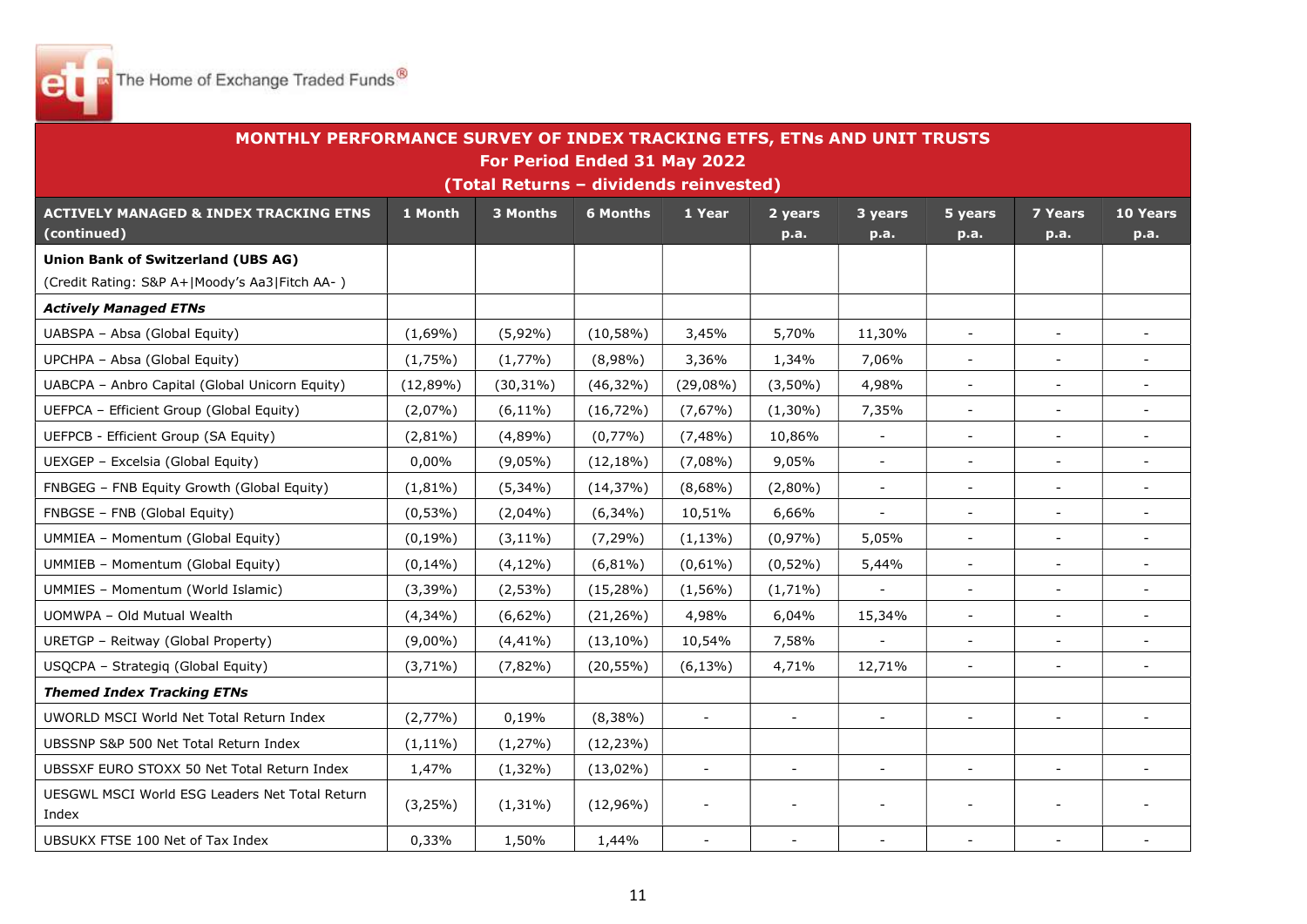

| MONTHLY PERFORMANCE SURVEY OF INDEX TRACKING ETFS, ETNs AND UNIT TRUSTS |             |                                                    |                 |                          |                          |                |                          |                          |                          |  |
|-------------------------------------------------------------------------|-------------|----------------------------------------------------|-----------------|--------------------------|--------------------------|----------------|--------------------------|--------------------------|--------------------------|--|
|                                                                         |             | For Period Ended 31 May 2022                       |                 |                          |                          |                |                          |                          |                          |  |
| <b>ACTIVELY MANAGED &amp; INDEX TRACKING ETNS</b>                       | 1 Month     | (Total Returns - dividends reinvested)<br>3 Months | <b>6 Months</b> | 1 Year                   | 2 years                  | 3 years        | 5 years                  | <b>7 Years</b>           | 10 Years                 |  |
| (continued)                                                             |             |                                                    |                 |                          | p.a.                     | p.a.           | p.a.                     | p.a.                     | p.a.                     |  |
| <b>Union Bank of Switzerland (UBS AG)</b>                               |             |                                                    |                 |                          |                          |                |                          |                          |                          |  |
| (Credit Rating: S&P A+ Moody's Aa3 Fitch AA-)                           |             |                                                    |                 |                          |                          |                |                          |                          |                          |  |
| <b>Actively Managed ETNs</b>                                            |             |                                                    |                 |                          |                          |                |                          |                          |                          |  |
| UABSPA - Absa (Global Equity)                                           | $(1,69\%)$  | $(5,92\%)$                                         | $(10,58\%)$     | 3,45%                    | 5,70%                    | 11,30%         | $\blacksquare$           | $\blacksquare$           |                          |  |
| UPCHPA - Absa (Global Equity)                                           | $(1,75\%)$  | $(1,77\%)$                                         | $(8,98\%)$      | 3,36%                    | 1,34%                    | 7,06%          | $\overline{\phantom{a}}$ | $\overline{\phantom{a}}$ |                          |  |
| UABCPA - Anbro Capital (Global Unicorn Equity)                          | (12,89%)    | $(30, 31\%)$                                       | $(46,32\%)$     | $(29,08\%)$              | $(3,50\%)$               | 4,98%          | $\blacksquare$           | $\sim$                   | $\sim$                   |  |
| UEFPCA - Efficient Group (Global Equity)                                | (2,07%)     | $(6, 11\%)$                                        | $(16, 72\%)$    | $(7,67\%)$               | $(1,30\%)$               | 7,35%          | $\blacksquare$           | $\overline{\phantom{a}}$ |                          |  |
| <b>UEFPCB - Efficient Group (SA Equity)</b>                             | $(2,81\%)$  | (4,89%                                             | (0,77%)         | $(7,48\%)$               | 10,86%                   | $\blacksquare$ | $\overline{\phantom{a}}$ | $\blacksquare$           |                          |  |
| UEXGEP - Excelsia (Global Equity)                                       | 0,00%       | $(9,05\%)$                                         | $(12, 18\%)$    | $(7,08\%)$               | 9,05%                    | $\sim$         | $\blacksquare$           | $\sim$                   | $\blacksquare$           |  |
| FNBGEG - FNB Equity Growth (Global Equity)                              | $(1,81\%)$  | $(5,34\%)$                                         | (14, 37%)       | $(8,68\%)$               | $(2,80\%)$               | $\blacksquare$ | $\blacksquare$           | $\blacksquare$           |                          |  |
| FNBGSE - FNB (Global Equity)                                            | $(0,53\%)$  | $(2,04\%)$                                         | $(6,34\%)$      | 10,51%                   | 6,66%                    | $\blacksquare$ | $\overline{\phantom{a}}$ | $\overline{a}$           |                          |  |
| UMMIEA - Momentum (Global Equity)                                       | $(0, 19\%)$ | $(3, 11\%)$                                        | $(7, 29\%)$     | $(1, 13\%)$              | (0,97%)                  | 5,05%          | $\blacksquare$           | $\blacksquare$           | $\blacksquare$           |  |
| <b>UMMIEB - Momentum (Global Equity)</b>                                | $(0, 14\%)$ | $(4,12\%)$                                         | $(6,81\%)$      | $(0,61\%)$               | $(0,52\%)$               | 5,44%          | $\overline{a}$           | $\overline{a}$           | $\sim$                   |  |
| UMMIES - Momentum (World Islamic)                                       | $(3,39\%)$  | $(2,53\%)$                                         | $(15, 28\%)$    | $(1,56\%)$               | $(1,71\%)$               |                | $\overline{\phantom{a}}$ | $\overline{\phantom{a}}$ |                          |  |
| UOMWPA - Old Mutual Wealth                                              | $(4,34\%)$  | $(6,62\%)$                                         | $(21, 26\%)$    | 4,98%                    | 6,04%                    | 15,34%         | $\blacksquare$           | $\blacksquare$           |                          |  |
| URETGP - Reitway (Global Property)                                      | $(9,00\%)$  | $(4, 41\%)$                                        | $(13, 10\%)$    | 10,54%                   | 7,58%                    |                | $\sim$                   | $\blacksquare$           |                          |  |
| USQCPA - Strategiq (Global Equity)                                      | $(3,71\%)$  | $(7,82\%)$                                         | $(20, 55\%)$    | $(6, 13\%)$              | 4,71%                    | 12,71%         | $\overline{\phantom{a}}$ | $\blacksquare$           | $\blacksquare$           |  |
| <b>Themed Index Tracking ETNs</b>                                       |             |                                                    |                 |                          |                          |                |                          |                          |                          |  |
| UWORLD MSCI World Net Total Return Index                                | (2,77%)     | 0,19%                                              | $(8,38\%)$      | $\equiv$                 | $\blacksquare$           | $\blacksquare$ | $\overline{\phantom{a}}$ | $\blacksquare$           | $\overline{\phantom{a}}$ |  |
| UBSSNP S&P 500 Net Total Return Index                                   | $(1, 11\%)$ | (1,27%)                                            | $(12, 23\%)$    |                          |                          |                |                          |                          |                          |  |
| UBSSXF EURO STOXX 50 Net Total Return Index                             | 1,47%       | $(1,32\%)$                                         | $(13,02\%)$     | $\overline{\phantom{a}}$ | $\overline{\phantom{a}}$ |                | $\overline{\phantom{a}}$ | $\sim$                   |                          |  |
| UESGWL MSCI World ESG Leaders Net Total Return<br>Index                 | (3,25%)     | $(1,31\%)$                                         | $(12,96\%)$     | $\overline{\phantom{a}}$ | $\overline{\phantom{a}}$ |                | $\overline{\phantom{a}}$ | $\overline{a}$           |                          |  |
| UBSUKX FTSE 100 Net of Tax Index                                        | 0,33%       | 1,50%                                              | 1,44%           | $\overline{a}$           | $\blacksquare$           | $\sim$         |                          | $\overline{a}$           |                          |  |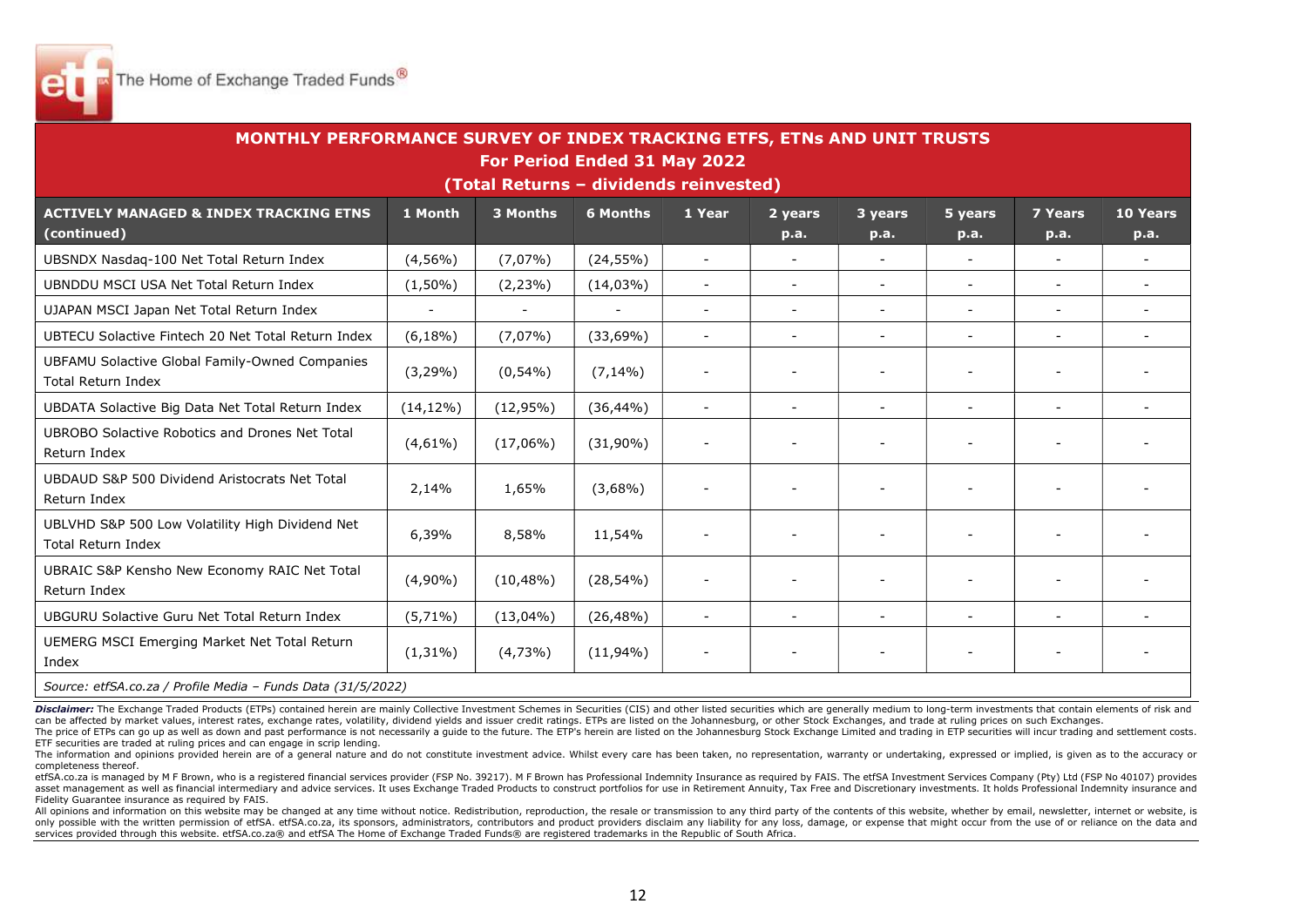

| MONTHLY PERFORMANCE SURVEY OF INDEX TRACKING ETFS, ETNs AND UNIT TRUSTS<br>For Period Ended 31 May 2022<br>(Total Returns - dividends reinvested) |                          |              |                 |                          |                          |                 |                          |                          |                         |  |  |  |
|---------------------------------------------------------------------------------------------------------------------------------------------------|--------------------------|--------------|-----------------|--------------------------|--------------------------|-----------------|--------------------------|--------------------------|-------------------------|--|--|--|
| <b>ACTIVELY MANAGED &amp; INDEX TRACKING ETNS</b><br>(continued)                                                                                  | 1 Month                  | 3 Months     | <b>6 Months</b> | 1 Year                   | 2 years<br>p.a.          | 3 years<br>p.a. | 5 years<br>p.a.          | <b>7 Years</b><br>p.a.   | <b>10 Years</b><br>p.a. |  |  |  |
| UBSNDX Nasdaq-100 Net Total Return Index                                                                                                          | $(4,56\%)$               | $(7,07\%)$   | $(24, 55\%)$    | $\sim$                   | $\blacksquare$           | $\blacksquare$  | $\overline{\phantom{a}}$ | $\overline{\phantom{a}}$ |                         |  |  |  |
| UBNDDU MSCI USA Net Total Return Index                                                                                                            | $(1,50\%)$               | $(2, 23\%)$  | $(14,03\%)$     | $\sim$                   | $\sim$                   |                 | $\blacksquare$           | $\blacksquare$           |                         |  |  |  |
| UJAPAN MSCI Japan Net Total Return Index                                                                                                          | $\overline{\phantom{a}}$ |              |                 |                          | $\sim$                   |                 | $\overline{\phantom{a}}$ | $\overline{\phantom{0}}$ |                         |  |  |  |
| UBTECU Solactive Fintech 20 Net Total Return Index                                                                                                | $(6,18\%)$               | $(7,07\%)$   | $(33,69\%)$     | $\overline{\phantom{a}}$ | $\blacksquare$           |                 | $\overline{a}$           | $\overline{\phantom{a}}$ |                         |  |  |  |
| UBFAMU Solactive Global Family-Owned Companies<br><b>Total Return Index</b>                                                                       | $(3,29\%)$               | $(0,54\%)$   | $(7, 14\%)$     | $\blacksquare$           |                          |                 |                          |                          |                         |  |  |  |
| UBDATA Solactive Big Data Net Total Return Index                                                                                                  | $(14, 12\%)$             | $(12,95\%)$  | $(36, 44\%)$    | $\blacksquare$           | $\overline{\phantom{a}}$ |                 | $\overline{\phantom{a}}$ | $\overline{\phantom{a}}$ |                         |  |  |  |
| UBROBO Solactive Robotics and Drones Net Total<br>Return Index                                                                                    | $(4,61\%)$               | $(17,06\%)$  | $(31,90\%)$     | $\overline{\phantom{a}}$ |                          |                 |                          |                          |                         |  |  |  |
| UBDAUD S&P 500 Dividend Aristocrats Net Total<br>Return Index                                                                                     | 2,14%                    | 1,65%        | $(3,68\%)$      | $\overline{\phantom{a}}$ |                          |                 |                          |                          |                         |  |  |  |
| UBLVHD S&P 500 Low Volatility High Dividend Net<br><b>Total Return Index</b>                                                                      | 6,39%                    | 8,58%        | 11,54%          |                          |                          |                 |                          |                          |                         |  |  |  |
| UBRAIC S&P Kensho New Economy RAIC Net Total<br>Return Index                                                                                      | $(4,90\%)$               | $(10, 48\%)$ | $(28, 54\%)$    |                          |                          |                 |                          |                          |                         |  |  |  |
| UBGURU Solactive Guru Net Total Return Index                                                                                                      | $(5,71\%)$               | $(13,04\%)$  | $(26, 48\%)$    | $\sim$                   | $\sim$                   | $\sim$          | $\blacksquare$           | $\blacksquare$           |                         |  |  |  |
| UEMERG MSCI Emerging Market Net Total Return<br>Index                                                                                             | $(1,31\%)$               | $(4,73\%)$   | $(11,94\%)$     | $\overline{\phantom{a}}$ | $\overline{\phantom{a}}$ |                 | $\overline{\phantom{a}}$ | $\overline{\phantom{a}}$ |                         |  |  |  |
| Source: etfSA.co.za / Profile Media - Funds Data (31/5/2022)                                                                                      |                          |              |                 |                          |                          |                 |                          |                          |                         |  |  |  |

Disclaimer: The Exchange Traded Products (ETPs) contained herein are mainly Collective Investment Schemes in Securities (CIS) and other listed securities which are generally medium to long-term investments that contain ele can be affected by market values, interest rates, exchange rates, volatility, dividend vields and issuer credit ratings. ETPs are listed on the Johannesburg, or other Stock Exchanges, and trade at ruling prices on such Exc

The price of ETPs can go up as well as down and past performance is not necessarily a guide to the future. The ETP's herein are listed on the Johannesburg Stock Exchange Limited and trading in ETP securities will incur tra ETF securities are traded at ruling prices and can engage in scrip lending.

The information and opinions provided herein are of a general nature and do not constitute investment advice. Whilst every care has been taken, no representation, warranty or undertaking, expressed or implied, is given as completeness thereof.

etfSA.co.za is managed by M F Brown, who is a registered financial services provider (FSP No. 39217). M F Brown has Professional Indemnity Insurance as required by FAIS. The etfSA Investment Services Company (Pty) Ltd (FSP asset management as well as financial intermediary and advice services. It uses Exchange Traded Products to construct portfolios for use in Retirement Annuity, Tax Free and Discretionary investments. It holds Professional Fidelity Guarantee insurance as required by FAIS.

All opinions and information on this website may be changed at any time without notice. Redistribution, reproduction, the resale or transmission to any third party of the contents of this website, whether by email, newslet only possible with the written permission of etfSA. etfSA.co.za, its sponsors, administrators, contributors and product providers disclaim any liability for any loss, damage, or expense that might occur from the use of or services provided through this website. etfSA.co.za® and etfSA The Home of Exchange Traded Funds® are registered trademarks in the Republic of South Africa.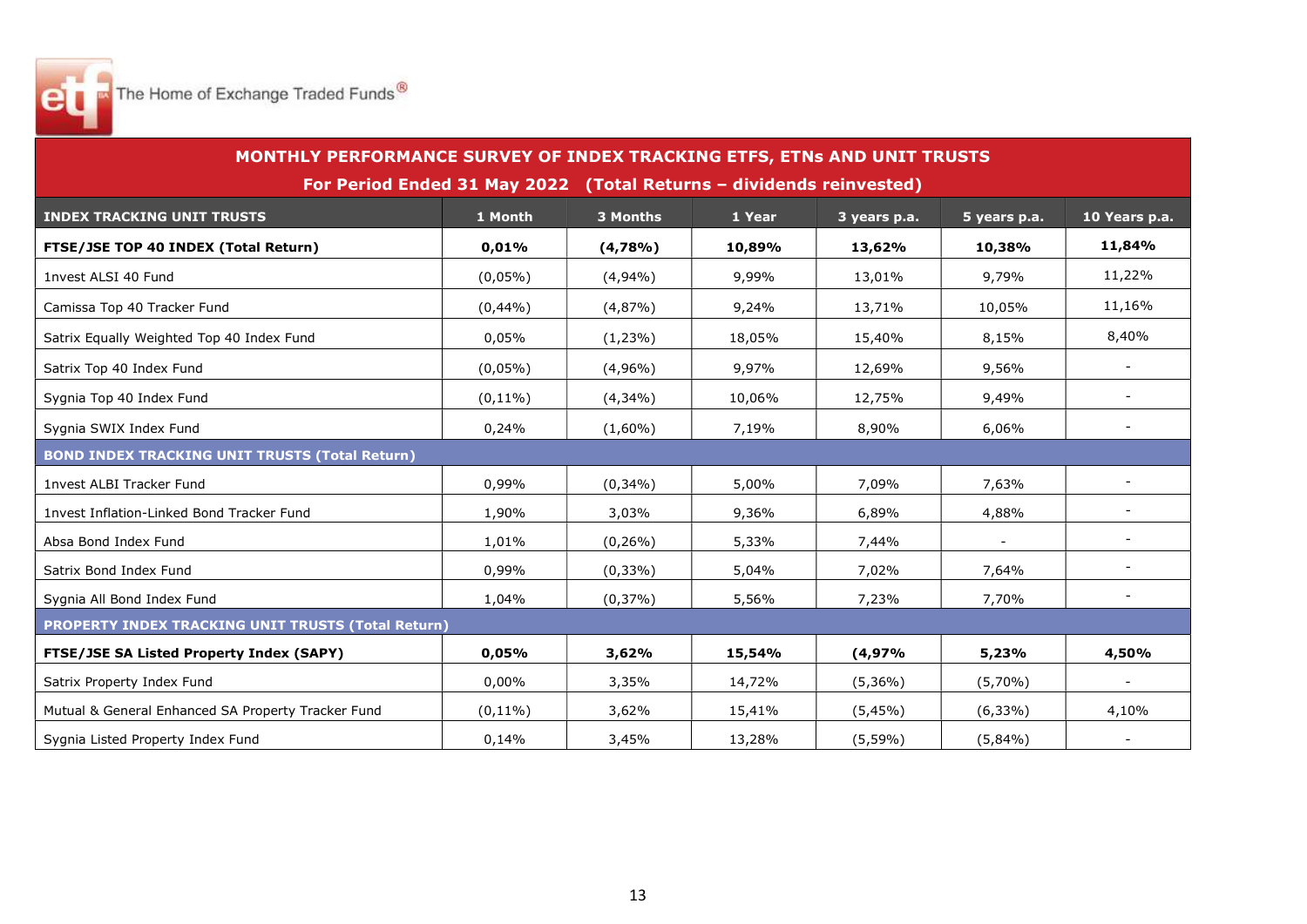

| MONTHLY PERFORMANCE SURVEY OF INDEX TRACKING ETFS, ETNs AND UNIT TRUSTS |                                                                     |             |        |              |              |                          |
|-------------------------------------------------------------------------|---------------------------------------------------------------------|-------------|--------|--------------|--------------|--------------------------|
|                                                                         | For Period Ended 31 May 2022 (Total Returns - dividends reinvested) |             |        |              |              |                          |
| <b>INDEX TRACKING UNIT TRUSTS</b>                                       | 1 Month                                                             | 3 Months    | 1 Year | 3 years p.a. | 5 years p.a. | 10 Years p.a.            |
| FTSE/JSE TOP 40 INDEX (Total Return)                                    | 0,01%                                                               | (4,78%      | 10,89% | 13,62%       | 10,38%       | 11,84%                   |
| 1nvest ALSI 40 Fund                                                     | $(0,05\%)$                                                          | $(4,94\%)$  | 9,99%  | 13,01%       | 9,79%        | 11,22%                   |
| Camissa Top 40 Tracker Fund                                             | (0,44%)                                                             | (4,87%)     | 9,24%  | 13,71%       | 10,05%       | 11,16%                   |
| Satrix Equally Weighted Top 40 Index Fund                               | 0,05%                                                               | $(1,23\%)$  | 18,05% | 15,40%       | 8,15%        | 8,40%                    |
| Satrix Top 40 Index Fund                                                | $(0,05\%)$                                                          | $(4,96\%)$  | 9,97%  | 12,69%       | 9,56%        | $\blacksquare$           |
| Sygnia Top 40 Index Fund                                                | $(0,11\%)$                                                          | $(4,34\%)$  | 10,06% | 12,75%       | 9,49%        |                          |
| Sygnia SWIX Index Fund                                                  | 0,24%                                                               | $(1,60\%)$  | 7,19%  | 8,90%        | 6,06%        |                          |
| <b>BOND INDEX TRACKING UNIT TRUSTS (Total Return)</b>                   |                                                                     |             |        |              |              |                          |
| 1nvest ALBI Tracker Fund                                                | 0,99%                                                               | $(0,34\%)$  | 5,00%  | 7,09%        | 7,63%        |                          |
| 1nvest Inflation-Linked Bond Tracker Fund                               | 1,90%                                                               | 3,03%       | 9,36%  | 6,89%        | 4,88%        |                          |
| Absa Bond Index Fund                                                    | 1,01%                                                               | $(0, 26\%)$ | 5,33%  | 7,44%        |              |                          |
| Satrix Bond Index Fund                                                  | 0,99%                                                               | $(0,33\%)$  | 5,04%  | 7,02%        | 7,64%        | $\overline{\phantom{a}}$ |
| Sygnia All Bond Index Fund                                              | 1,04%                                                               | $(0,37\%)$  | 5,56%  | 7,23%        | 7,70%        | $\sim$                   |
| <b>PROPERTY INDEX TRACKING UNIT TRUSTS (Total Return)</b>               |                                                                     |             |        |              |              |                          |
| <b>FTSE/JSE SA Listed Property Index (SAPY)</b>                         | 0,05%                                                               | 3,62%       | 15,54% | (4,97%       | 5,23%        | 4,50%                    |
| Satrix Property Index Fund                                              | 0,00%                                                               | 3,35%       | 14,72% | $(5,36\%)$   | $(5,70\%)$   | $\blacksquare$           |
| Mutual & General Enhanced SA Property Tracker Fund                      | $(0,11\%)$                                                          | 3,62%       | 15,41% | (5,45%)      | $(6,33\%)$   | 4,10%                    |
| Sygnia Listed Property Index Fund                                       | 0,14%                                                               | 3,45%       | 13,28% | $(5,59\%)$   | $(5,84\%)$   |                          |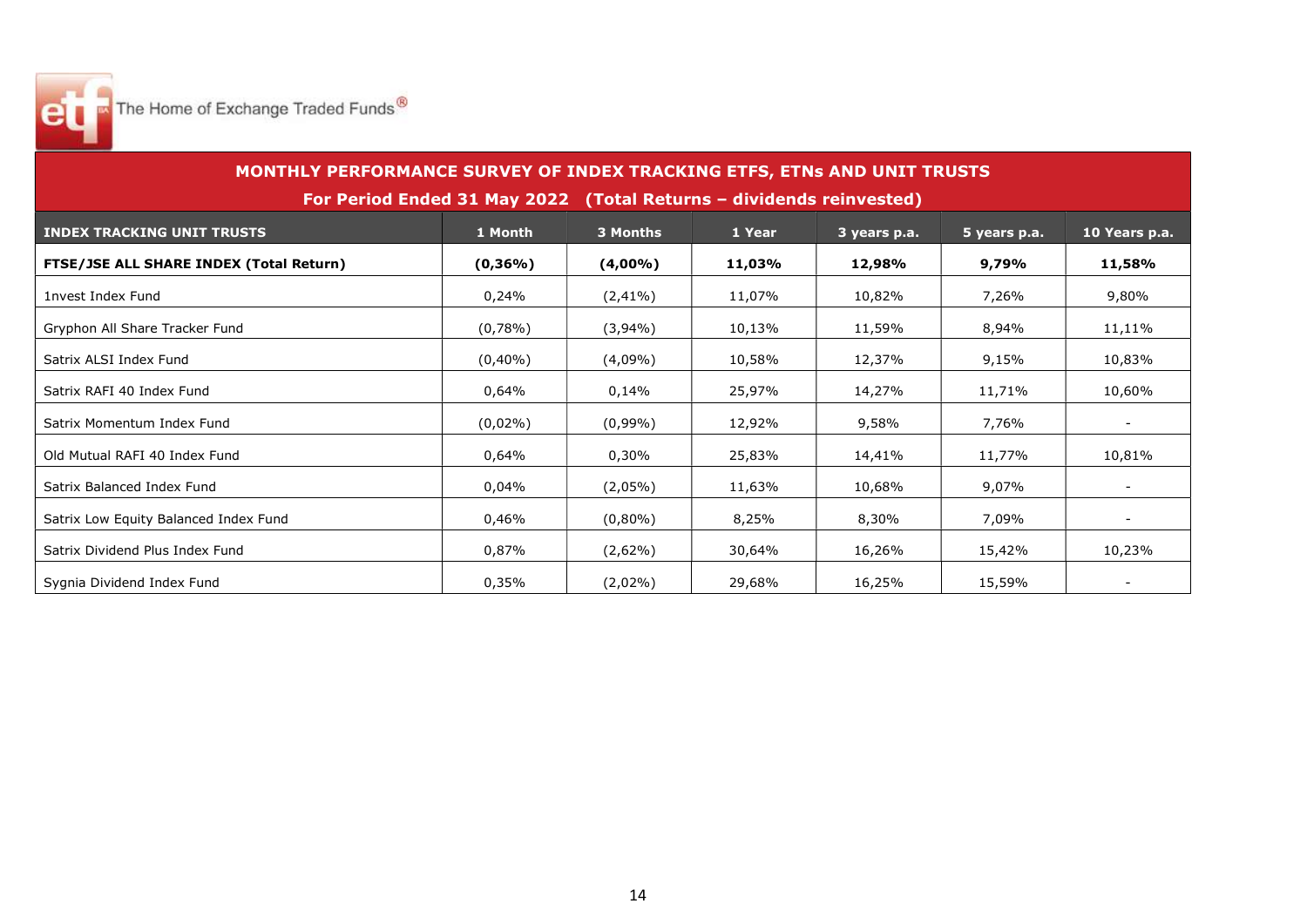

| MONTHLY PERFORMANCE SURVEY OF INDEX TRACKING ETFS, ETNs AND UNIT TRUSTS |            |             |        |              |              |               |  |  |  |  |
|-------------------------------------------------------------------------|------------|-------------|--------|--------------|--------------|---------------|--|--|--|--|
| For Period Ended 31 May 2022 (Total Returns - dividends reinvested)     |            |             |        |              |              |               |  |  |  |  |
| <b>INDEX TRACKING UNIT TRUSTS</b>                                       | 1 Month    | 3 Months    | 1 Year | 3 years p.a. | 5 years p.a. | 10 Years p.a. |  |  |  |  |
| <b>FTSE/JSE ALL SHARE INDEX (Total Return)</b>                          | $(0,36\%)$ | $(4,00\%)$  | 11,03% | 12,98%       | 9,79%        | 11,58%        |  |  |  |  |
| 1nvest Index Fund                                                       | 0,24%      | $(2, 41\%)$ | 11,07% | 10,82%       | 7,26%        | 9,80%         |  |  |  |  |
| Gryphon All Share Tracker Fund                                          | $(0,78\%)$ | $(3,94\%)$  | 10,13% | 11,59%       | 8,94%        | 11,11%        |  |  |  |  |
| Satrix ALSI Index Fund                                                  | $(0,40\%)$ | $(4,09\%)$  | 10,58% | 12,37%       | 9,15%        | 10,83%        |  |  |  |  |
| Satrix RAFI 40 Index Fund                                               | 0,64%      | 0,14%       | 25,97% | 14,27%       | 11,71%       | 10,60%        |  |  |  |  |
| Satrix Momentum Index Fund                                              | $(0,02\%)$ | $(0,99\%)$  | 12,92% | 9,58%        | 7,76%        |               |  |  |  |  |
| Old Mutual RAFI 40 Index Fund                                           | 0,64%      | 0,30%       | 25,83% | 14,41%       | 11,77%       | 10,81%        |  |  |  |  |
| Satrix Balanced Index Fund                                              | 0,04%      | $(2,05\%)$  | 11,63% | 10,68%       | 9,07%        |               |  |  |  |  |
| Satrix Low Equity Balanced Index Fund                                   | 0.46%      | $(0,80\%)$  | 8,25%  | 8,30%        | 7.09%        |               |  |  |  |  |
| Satrix Dividend Plus Index Fund                                         | 0,87%      | $(2,62\%)$  | 30,64% | 16,26%       | 15,42%       | 10,23%        |  |  |  |  |
| Sygnia Dividend Index Fund                                              | 0,35%      | $(2,02\%)$  | 29,68% | 16,25%       | 15,59%       |               |  |  |  |  |